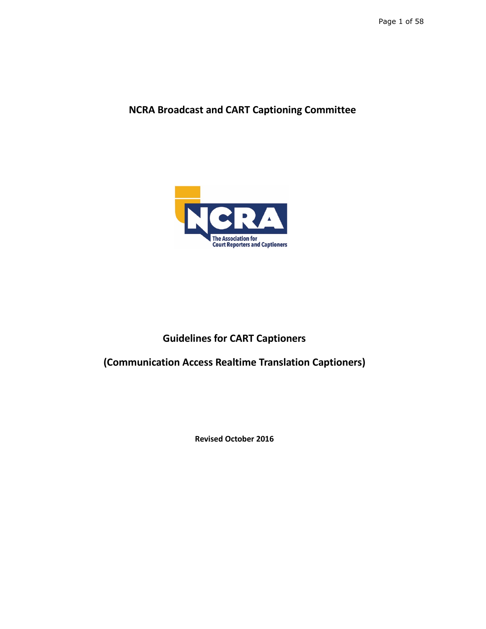# **NCRA Broadcast and CART Captioning Committee**



# **Guidelines for CART Captioners**

**(Communication Access Realtime Translation Captioners)**

**Revised October 2016**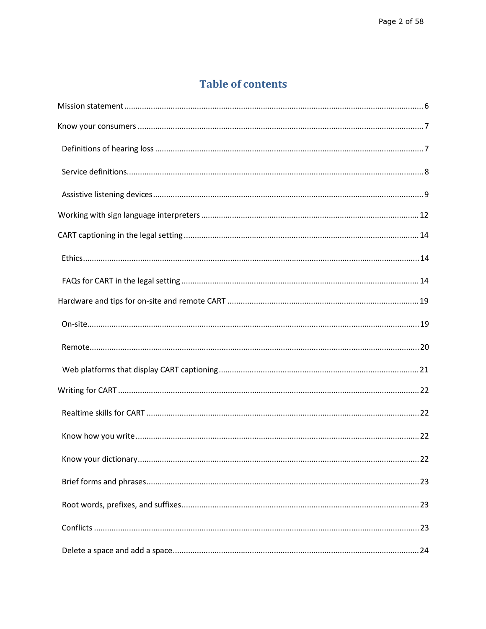# **Table of contents**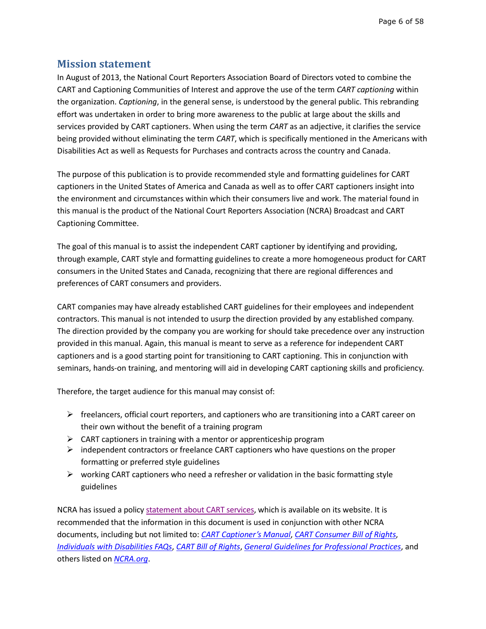# **Mission statement**

In August of 2013, the National Court Reporters Association Board of Directors voted to combine the CART and Captioning Communities of Interest and approve the use of the term *CART captioning* within the organization. *Captioning*, in the general sense, is understood by the general public. This rebranding effort was undertaken in order to bring more awareness to the public at large about the skills and services provided by CART captioners. When using the term *CART* as an adjective, it clarifies the service being provided without eliminating the term *CART*, which is specifically mentioned in the Americans with Disabilities Act as well as Requests for Purchases and contracts across the country and Canada.

The purpose of this publication is to provide recommended style and formatting guidelines for CART captioners in the United States of America and Canada as well as to offer CART captioners insight into the environment and circumstances within which their consumers live and work. The material found in this manual is the product of the National Court Reporters Association (NCRA) Broadcast and CART Captioning Committee.

The goal of this manual is to assist the independent CART captioner by identifying and providing, through example, CART style and formatting guidelines to create a more homogeneous product for CART consumers in the United States and Canada, recognizing that there are regional differences and preferences of CART consumers and providers.

CART companies may have already established CART guidelines for their employees and independent contractors. This manual is not intended to usurp the direction provided by any established company. The direction provided by the company you are working for should take precedence over any instruction provided in this manual. Again, this manual is meant to serve as a reference for independent CART captioners and is a good starting point for transitioning to CART captioning. This in conjunction with seminars, hands-on training, and mentoring will aid in developing CART captioning skills and proficiency.

Therefore, the target audience for this manual may consist of:

- $\triangleright$  freelancers, official court reporters, and captioners who are transitioning into a CART career on their own without the benefit of a training program
- $\triangleright$  CART captioners in training with a mentor or apprenticeship program
- $\triangleright$  independent contractors or freelance CART captioners who have questions on the proper formatting or preferred style guidelines
- $\triangleright$  working CART captioners who need a refresher or validation in the basic formatting style guidelines

NCRA has issued a policy [statement about CART services,](https://www.ncra.org/utility-pages/about-ncra/leadership-and-governance/NCRA-Policies-and-Procedures/group-page-(policies-and-procedures)/policies-and-procedures-manual---section-10---position-statements) which is available on its website. It is recommended that the information in this document is used in conjunction with other NCRA documents, including but not limited to: *CART [Captioner's](https://www.ncra.org/docs/default-source/uploadedfiles/governmentrelations/cartmanual.pdf) Manual*, *CART [Consumer](https://www.ncra.org/captioningmatters/captioning-matters-home/captioning-matters-resources/captioning-matters--group-page-for-resources/CART-Consumer-Bill-of-Rights) Bill of Rights*, *Individuals [with Disabilities](https://www.ncra.org/home/professionals_resources/professional-advantage/Captioning/Captioning-Resources-Networking/Captioning-Business-Resources/Individuals-with-Disabilities-FAQs) FAQs*, *CART [Bill of Rights](https://www.ncra.org/docs/default-source/uploadedfiles/governmentrelations/cart-bill-of-rights.pdf)*, *General Guidelines for [Professional](https://www.ncra.org/home/professionals_resources/professional-advantage/Captioning/captioning-resources-for-providers/CART-guidelines) Practices*, and others listed on *[NCRA.org](http://www.ncra.org/)*.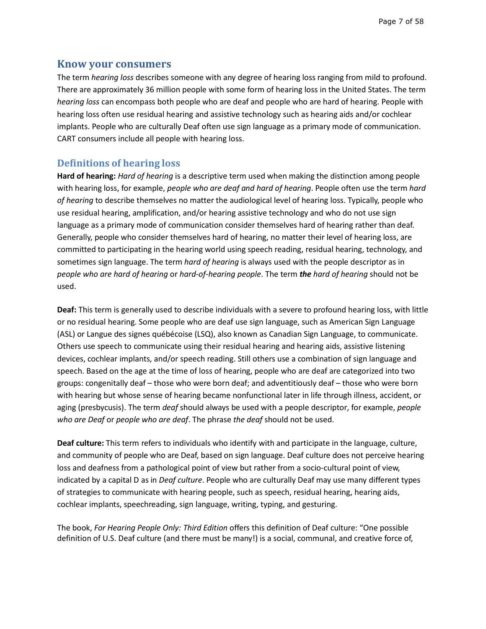## **Know your consumers**

The term *hearing loss* describes someone with any degree of hearing loss ranging from mild to profound. There are approximately 36 million people with some form of hearing loss in the United States. The term *hearing loss* can encompass both people who are deaf and people who are hard of hearing. People with hearing loss often use residual hearing and assistive technology such as hearing aids and/or cochlear implants. People who are culturally Deaf often use sign language as a primary mode of communication. CART consumers include all people with hearing loss.

# **Definitions of hearing loss**

**Hard of hearing:** *Hard of hearing* is a descriptive term used when making the distinction among people with hearing loss, for example, *people who are deaf and hard of hearing*. People often use the term *hard of hearing* to describe themselves no matter the audiological level of hearing loss. Typically, people who use residual hearing, amplification, and/or hearing assistive technology and who do not use sign language as a primary mode of communication consider themselves hard of hearing rather than deaf. Generally, people who consider themselves hard of hearing, no matter their level of hearing loss, are committed to participating in the hearing world using speech reading, residual hearing, technology, and sometimes sign language. The term *hard of hearing* is always used with the people descriptor as in *people who are hard of hearing* or *hard-of-hearing people*. The term *the hard of hearing* should not be used.

**Deaf:** This term is generally used to describe individuals with a severe to profound hearing loss, with little or no residual hearing. Some people who are deaf use sign language, such as American Sign Language (ASL) or Langue des signes québécoise (LSQ), also known as Canadian Sign Language, to communicate. Others use speech to communicate using their residual hearing and hearing aids, assistive listening devices, cochlear implants, and/or speech reading. Still others use a combination of sign language and speech. Based on the age at the time of loss of hearing, people who are deaf are categorized into two groups: congenitally deaf – those who were born deaf; and adventitiously deaf – those who were born with hearing but whose sense of hearing became nonfunctional later in life through illness, accident, or aging (presbycusis). The term *deaf* should always be used with a people descriptor, for example, *people who are Deaf* or *people who are deaf*. The phrase *the deaf* should not be used.

**Deaf culture:** This term refers to individuals who identify with and participate in the language, culture, and community of people who are Deaf, based on sign language. Deaf culture does not perceive hearing loss and deafness from a pathological point of view but rather from a socio-cultural point of view, indicated by a capital D as in *Deaf culture*. People who are culturally Deaf may use many different types of strategies to communicate with hearing people, such as speech, residual hearing, hearing aids, cochlear implants, speechreading, sign language, writing, typing, and gesturing.

The book, *For Hearing People Only: Third Edition* offers this definition of Deaf culture: "One possible definition of U.S. Deaf culture (and there must be many!) is a social, communal, and creative force of,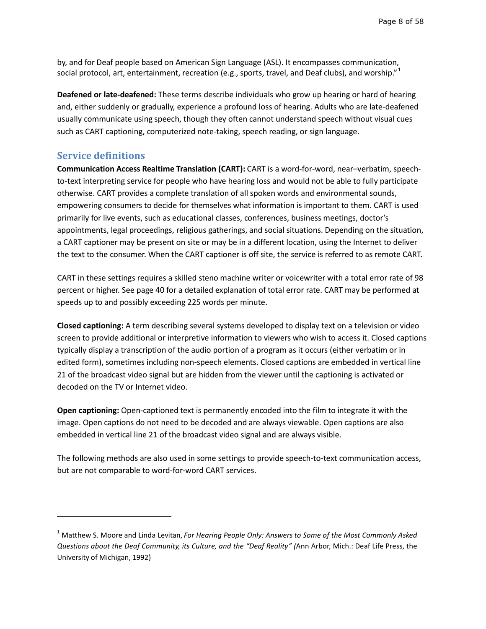by, and for Deaf people based on American Sign Language (ASL). It encompasses communication, social protocol, art, entertainment, recreation (e.g., sports, travel, and Deaf clubs), and worship.<sup>"1</sup>

**Deafened or late-deafened:** These terms describe individuals who grow up hearing or hard of hearing and, either suddenly or gradually, experience a profound loss of hearing. Adults who are late-deafened usually communicate using speech, though they often cannot understand speech without visual cues such as CART captioning, computerized note-taking, speech reading, or sign language.

## **Service definitions**

**Communication Access Realtime Translation (CART):** CART is a word-for-word, near–verbatim, speechto-text interpreting service for people who have hearing loss and would not be able to fully participate otherwise. CART provides a complete translation of all spoken words and environmental sounds, empowering consumers to decide for themselves what information is important to them. CART is used primarily for live events, such as educational classes, conferences, business meetings, doctor's appointments, legal proceedings, religious gatherings, and social situations. Depending on the situation, a CART captioner may be present on site or may be in a different location, using the Internet to deliver the text to the consumer. When the CART captioner is off site, the service is referred to as remote CART.

CART in these settings requires a skilled steno machine writer or voicewriter with a total error rate of 98 percent or higher. See page 40 for a detailed explanation of total error rate. CART may be performed at speeds up to and possibly exceeding 225 words per minute.

**Closed captioning:** A term describing several systems developed to display text on a television or video screen to provide additional or interpretive information to viewers who wish to access it. Closed captions typically display a transcription of the audio portion of a program as it occurs (either verbatim or in edited form), sometimes including non-speech elements. Closed captions are embedded in vertical line 21 of the broadcast video signal but are hidden from the viewer until the captioning is activated or decoded on the TV or Internet video.

**Open captioning:** Open-captioned text is permanently encoded into the film to integrate it with the image. Open captions do not need to be decoded and are always viewable. Open captions are also embedded in vertical line 21 of the broadcast video signal and are always visible.

The following methods are also used in some settings to provide speech-to-text communication access, but are not comparable to word-for-word CART services.

<sup>1</sup> Matthew S. Moore and Linda Levitan, *For Hearing People Only: Answers to Some of the Most Commonly Asked Questions about the Deaf Community, its Culture, and the "Deaf Reality" (*Ann Arbor, Mich.: Deaf Life Press, the University of Michigan, 1992)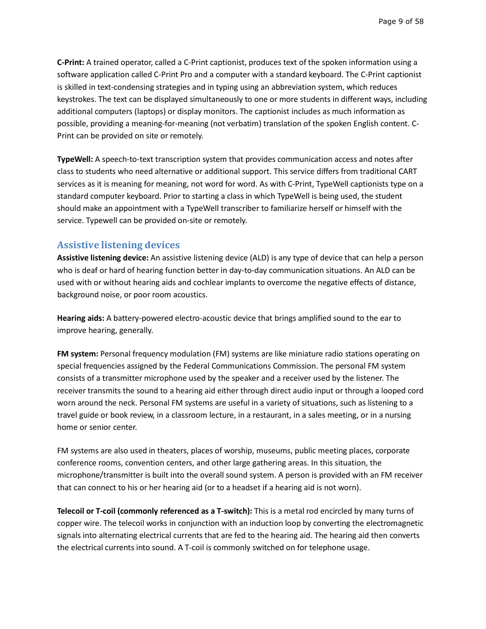**C-Print:** A trained operator, called a C-Print captionist, produces text of the spoken information using a software application called C-Print Pro and a computer with a standard keyboard. The C-Print captionist is skilled in text-condensing strategies and in typing using an abbreviation system, which reduces keystrokes. The text can be displayed simultaneously to one or more students in different ways, including additional computers (laptops) or display monitors. The captionist includes as much information as possible, providing a meaning-for-meaning (not verbatim) translation of the spoken English content. C-Print can be provided on site or remotely.

**TypeWell:** A speech-to-text transcription system that provides communication access and notes after class to students who need alternative or additional support. This service differs from traditional CART services as it is meaning for meaning, not word for word. As with C-Print, TypeWell captionists type on a standard computer keyboard. Prior to starting a class in which TypeWell is being used, the student should make an appointment with a TypeWell transcriber to familiarize herself or himself with the service. Typewell can be provided on-site or remotely.

# **Assistive listening devices**

**Assistive listening device:** An assistive listening device (ALD) is any type of device that can help a person who is deaf or hard of hearing function better in day-to-day communication situations. An ALD can be used with or without hearing aids and cochlear implants to overcome the negative effects of distance, background noise, or poor room acoustics.

**Hearing aids:** A battery-powered electro-acoustic device that brings amplified sound to the ear to improve hearing, generally.

**FM system:** Personal frequency modulation (FM) systems are like miniature radio stations operating on special frequencies assigned by the Federal Communications Commission. The personal FM system consists of a transmitter microphone used by the speaker and a receiver used by the listener. The receiver transmits the sound to a hearing aid either through direct audio input or through a looped cord worn around the neck. Personal FM systems are useful in a variety of situations, such as listening to a travel guide or book review, in a classroom lecture, in a restaurant, in a sales meeting, or in a nursing home or senior center.

FM systems are also used in theaters, places of worship, museums, public meeting places, corporate conference rooms, convention centers, and other large gathering areas. In this situation, the microphone/transmitter is built into the overall sound system. A person is provided with an FM receiver that can connect to his or her hearing aid (or to a headset if a hearing aid is not worn).

**Telecoil or T-coil (commonly referenced as a T-switch):** This is a metal rod encircled by many turns of copper wire. The telecoil works in conjunction with an induction loop by converting the electromagnetic signals into alternating electrical currents that are fed to the hearing aid. The hearing aid then converts the electrical currents into sound. A T-coil is commonly switched on for telephone usage.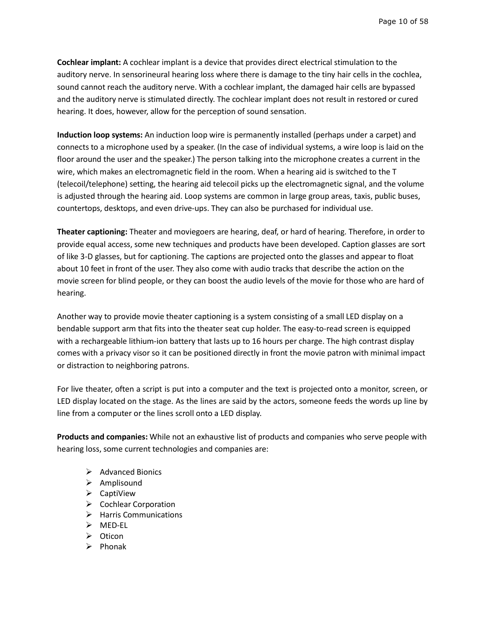**Cochlear implant:** A cochlear implant is a device that provides direct electrical stimulation to the auditory nerve. In sensorineural hearing loss where there is damage to the tiny hair cells in the cochlea, sound cannot reach the auditory nerve. With a cochlear implant, the damaged hair cells are bypassed and the auditory nerve is stimulated directly. The cochlear implant does not result in restored or cured hearing. It does, however, allow for the perception of sound sensation.

**Induction loop systems:** An induction loop wire is permanently installed (perhaps under a carpet) and connects to a microphone used by a speaker. (In the case of individual systems, a wire loop is laid on the floor around the user and the speaker.) The person talking into the microphone creates a current in the wire, which makes an electromagnetic field in the room. When a hearing aid is switched to the T (telecoil/telephone) setting, the hearing aid telecoil picks up the electromagnetic signal, and the volume is adjusted through the hearing aid. Loop systems are common in large group areas, taxis, public buses, countertops, desktops, and even drive-ups. They can also be purchased for individual use.

**Theater captioning:** Theater and moviegoers are hearing, deaf, or hard of hearing. Therefore, in order to provide equal access, some new techniques and products have been developed. Caption glasses are sort of like 3-D glasses, but for captioning. The captions are projected onto the glasses and appear to float about 10 feet in front of the user. They also come with audio tracks that describe the action on the movie screen for blind people, or they can boost the audio levels of the movie for those who are hard of hearing.

Another way to provide movie theater captioning is a system consisting of a small LED display on a bendable support arm that fits into the theater seat cup holder. The easy-to-read screen is equipped with a rechargeable lithium-ion battery that lasts up to 16 hours per charge. The high contrast display comes with a privacy visor so it can be positioned directly in front the movie patron with minimal impact or distraction to neighboring patrons.

For live theater, often a script is put into a computer and the text is projected onto a monitor, screen, or LED display located on the stage. As the lines are said by the actors, someone feeds the words up line by line from a computer or the lines scroll onto a LED display.

**Products and companies:** While not an exhaustive list of products and companies who serve people with hearing loss, some current technologies and companies are:

- $\triangleright$  Advanced Bionics
- $\triangleright$  Amplisound
- CaptiView
- ▶ Cochlear Corporation
- $\triangleright$  Harris Communications
- $\triangleright$  MED-EL
- > Oticon
- $\triangleright$  Phonak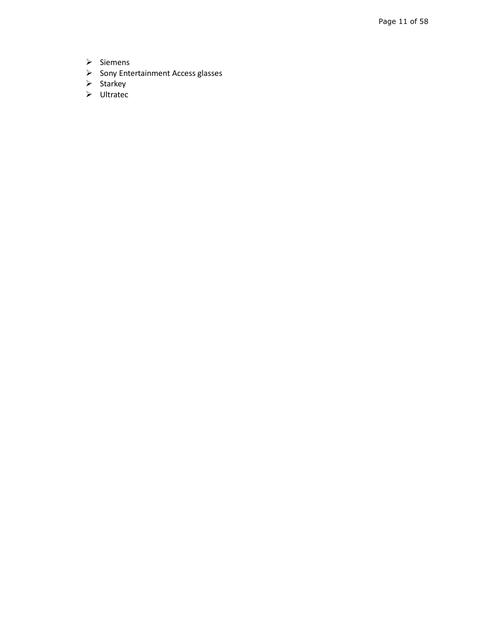- > Siemens
- > Sony Entertainment Access glasses
- > Starkey
- > Ultratec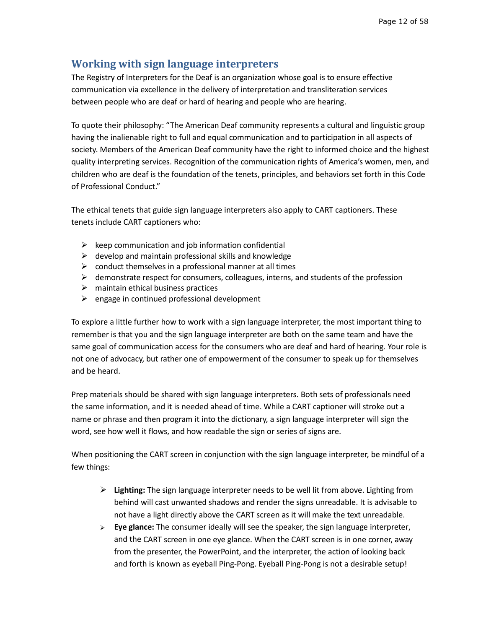# **Working with sign language interpreters**

The Registry of Interpreters for the Deaf is an organization whose goal is to ensure effective communication via excellence in the delivery of interpretation and transliteration services between people who are deaf or hard of hearing and people who are hearing.

To quote their philosophy: "The American Deaf community represents a cultural and linguistic group having the inalienable right to full and equal communication and to participation in all aspects of society. Members of the American Deaf community have the right to informed choice and the highest quality interpreting services. Recognition of the communication rights of America's women, men, and children who are deaf is the foundation of the tenets, principles, and behaviors set forth in this Code of Professional Conduct."

The ethical tenets that guide sign language interpreters also apply to CART captioners. These tenets include CART captioners who:

- $\triangleright$  keep communication and job information confidential
- $\triangleright$  develop and maintain professional skills and knowledge
- $\triangleright$  conduct themselves in a professional manner at all times
- $\triangleright$  demonstrate respect for consumers, colleagues, interns, and students of the profession
- $\triangleright$  maintain ethical business practices
- $\triangleright$  engage in continued professional development

To explore a little further how to work with a sign language interpreter, the most important thing to remember is that you and the sign language interpreter are both on the same team and have the same goal of communication access for the consumers who are deaf and hard of hearing. Your role is not one of advocacy, but rather one of empowerment of the consumer to speak up for themselves and be heard.

Prep materials should be shared with sign language interpreters. Both sets of professionals need the same information, and it is needed ahead of time. While a CART captioner will stroke out a name or phrase and then program it into the dictionary, a sign language interpreter will sign the word, see how well it flows, and how readable the sign or series of signs are.

When positioning the CART screen in conjunction with the sign language interpreter, be mindful of a few things:

- **Lighting:** The sign language interpreter needs to be well lit from above. Lighting from behind will cast unwanted shadows and render the signs unreadable. It is advisable to not have a light directly above the CART screen as it will make the text unreadable.
- **Eye glance:** The consumer ideally will see the speaker, the sign language interpreter, and the CART screen in one eye glance. When the CART screen is in one corner, away from the presenter, the PowerPoint, and the interpreter, the action of looking back and forth is known as eyeball Ping-Pong. Eyeball Ping-Pong is not a desirable setup!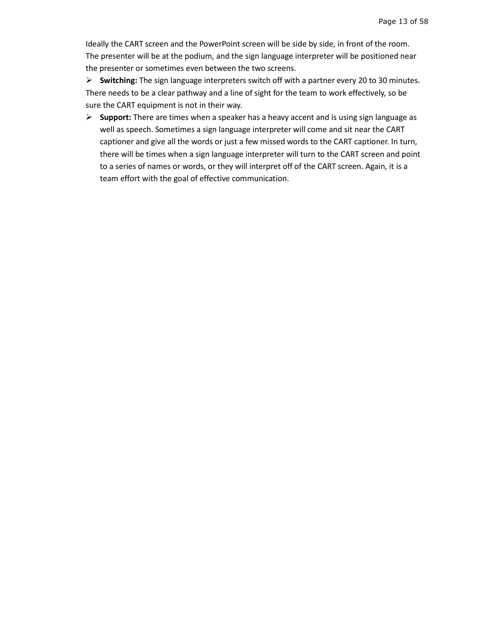Ideally the CART screen and the PowerPoint screen will be side by side, in front of the room. The presenter will be at the podium, and the sign language interpreter will be positioned near the presenter or sometimes even between the two screens.

 **Switching:** The sign language interpreters switch off with a partner every 20 to 30 minutes. There needs to be a clear pathway and a line of sight for the team to work effectively, so be sure the CART equipment is not in their way.

 **Support:** There are times when a speaker has a heavy accent and is using sign language as well as speech. Sometimes a sign language interpreter will come and sit near the CART captioner and give all the words or just a few missed words to the CART captioner. In turn, there will be times when a sign language interpreter will turn to the CART screen and point to a series of names or words, or they will interpret off of the CART screen. Again, it is a team effort with the goal of effective communication.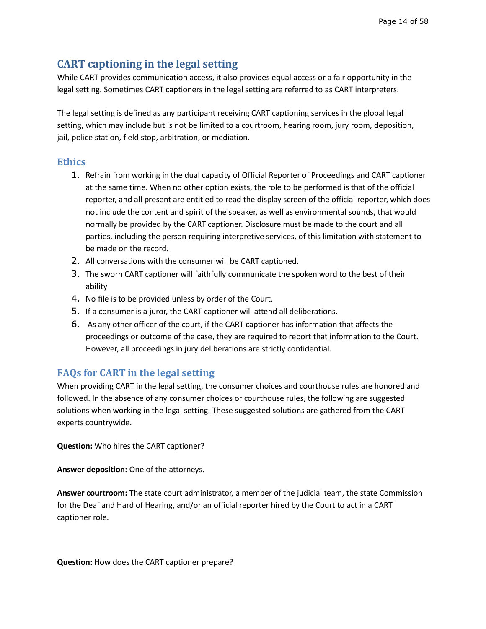# **CART captioning in the legal setting**

While CART provides communication access, it also provides equal access or a fair opportunity in the legal setting. Sometimes CART captioners in the legal setting are referred to as CART interpreters.

The legal setting is defined as any participant receiving CART captioning services in the global legal setting, which may include but is not be limited to a courtroom, hearing room, jury room, deposition, jail, police station, field stop, arbitration, or mediation.

# **Ethics**

- 1. Refrain from working in the dual capacity of Official Reporter of Proceedings and CART captioner at the same time. When no other option exists, the role to be performed is that of the official reporter, and all present are entitled to read the display screen of the official reporter, which does not include the content and spirit of the speaker, as well as environmental sounds, that would normally be provided by the CART captioner. Disclosure must be made to the court and all parties, including the person requiring interpretive services, of this limitation with statement to be made on the record.
- 2. All conversations with the consumer will be CART captioned.
- 3. The sworn CART captioner will faithfully communicate the spoken word to the best of their ability
- 4. No file is to be provided unless by order of the Court.
- 5. If a consumer is a juror, the CART captioner will attend all deliberations.
- 6. As any other officer of the court, if the CART captioner has information that affects the proceedings or outcome of the case, they are required to report that information to the Court. However, all proceedings in jury deliberations are strictly confidential.

# **FAQs for CART in the legal setting**

When providing CART in the legal setting, the consumer choices and courthouse rules are honored and followed. In the absence of any consumer choices or courthouse rules, the following are suggested solutions when working in the legal setting. These suggested solutions are gathered from the CART experts countrywide.

**Question:** Who hires the CART captioner?

**Answer deposition:** One of the attorneys.

**Answer courtroom:** The state court administrator, a member of the judicial team, the state Commission for the Deaf and Hard of Hearing, and/or an official reporter hired by the Court to act in a CART captioner role.

**Question:** How does the CART captioner prepare?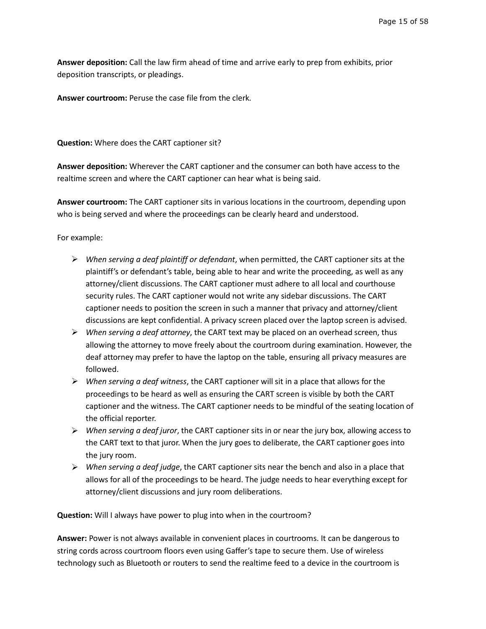**Answer deposition:** Call the law firm ahead of time and arrive early to prep from exhibits, prior deposition transcripts, or pleadings.

**Answer courtroom:** Peruse the case file from the clerk.

**Question:** Where does the CART captioner sit?

**Answer deposition:** Wherever the CART captioner and the consumer can both have access to the realtime screen and where the CART captioner can hear what is being said.

**Answer courtroom:** The CART captioner sits in various locations in the courtroom, depending upon who is being served and where the proceedings can be clearly heard and understood.

For example:

- *When serving a deaf plaintiff or defendant*, when permitted, the CART captioner sits at the plaintiff's or defendant's table, being able to hear and write the proceeding, as well as any attorney/client discussions. The CART captioner must adhere to all local and courthouse security rules. The CART captioner would not write any sidebar discussions. The CART captioner needs to position the screen in such a manner that privacy and attorney/client discussions are kept confidential. A privacy screen placed over the laptop screen is advised.
- *When serving a deaf attorney*, the CART text may be placed on an overhead screen, thus allowing the attorney to move freely about the courtroom during examination. However, the deaf attorney may prefer to have the laptop on the table, ensuring all privacy measures are followed.
- *When serving a deaf witness*, the CART captioner will sit in a place that allows for the proceedings to be heard as well as ensuring the CART screen is visible by both the CART captioner and the witness. The CART captioner needs to be mindful of the seating location of the official reporter.
- *When serving a deaf juror*, the CART captioner sits in or near the jury box, allowing access to the CART text to that juror. When the jury goes to deliberate, the CART captioner goes into the jury room.
- *When serving a deaf judge*, the CART captioner sits near the bench and also in a place that allows for all of the proceedings to be heard. The judge needs to hear everything except for attorney/client discussions and jury room deliberations.

**Question:** Will I always have power to plug into when in the courtroom?

**Answer:** Power is not always available in convenient places in courtrooms. It can be dangerous to string cords across courtroom floors even using Gaffer's tape to secure them. Use of wireless technology such as Bluetooth or routers to send the realtime feed to a device in the courtroom is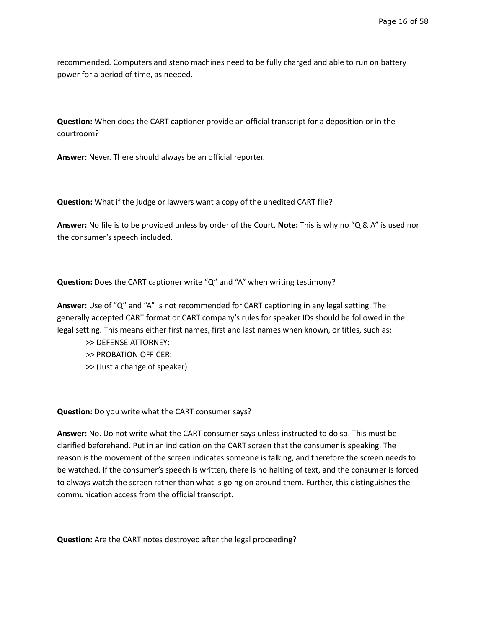recommended. Computers and steno machines need to be fully charged and able to run on battery power for a period of time, as needed.

**Question:** When does the CART captioner provide an official transcript for a deposition or in the courtroom?

**Answer:** Never. There should always be an official reporter.

**Question:** What if the judge or lawyers want a copy of the unedited CART file?

**Answer:** No file is to be provided unless by order of the Court. **Note:** This is why no "Q & A" is used nor the consumer's speech included.

**Question:** Does the CART captioner write "Q" and "A" when writing testimony?

**Answer:** Use of "Q" and "A" is not recommended for CART captioning in any legal setting. The generally accepted CART format or CART company's rules for speaker IDs should be followed in the legal setting. This means either first names, first and last names when known, or titles, such as:

>> DEFENSE ATTORNEY: >> PROBATION OFFICER: >> (Just a change of speaker)

#### **Question:** Do you write what the CART consumer says?

**Answer:** No. Do not write what the CART consumer says unless instructed to do so. This must be clarified beforehand. Put in an indication on the CART screen that the consumer is speaking. The reason is the movement of the screen indicates someone is talking, and therefore the screen needs to be watched. If the consumer's speech is written, there is no halting of text, and the consumer is forced to always watch the screen rather than what is going on around them. Further, this distinguishes the communication access from the official transcript.

**Question:** Are the CART notes destroyed after the legal proceeding?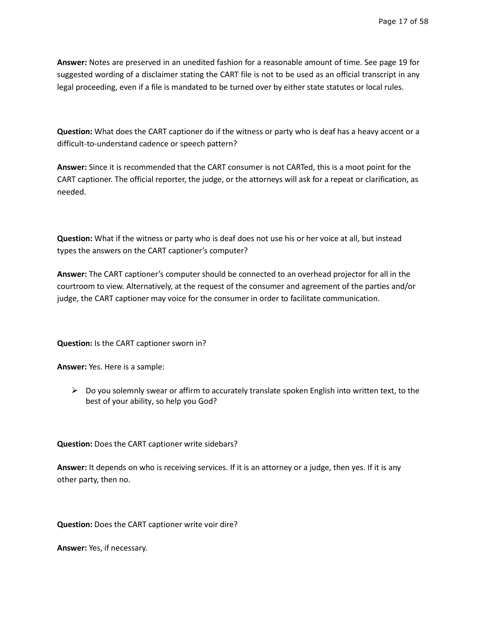**Answer:** Notes are preserved in an unedited fashion for a reasonable amount of time. See page 19 for suggested wording of a disclaimer stating the CART file is not to be used as an official transcript in any legal proceeding, even if a file is mandated to be turned over by either state statutes or local rules.

**Question:** What does the CART captioner do if the witness or party who is deaf has a heavy accent or a difficult-to-understand cadence or speech pattern?

**Answer:** Since it is recommended that the CART consumer is not CARTed, this is a moot point for the CART captioner. The official reporter, the judge, or the attorneys will ask for a repeat or clarification, as needed.

**Question:** What if the witness or party who is deaf does not use his or her voice at all, but instead types the answers on the CART captioner's computer?

**Answer:** The CART captioner's computer should be connected to an overhead projector for all in the courtroom to view. Alternatively, at the request of the consumer and agreement of the parties and/or judge, the CART captioner may voice for the consumer in order to facilitate communication.

**Question:** Is the CART captioner sworn in?

**Answer:** Yes. Here is a sample:

 $\triangleright$  Do you solemnly swear or affirm to accurately translate spoken English into written text, to the best of your ability, so help you God?

**Question:** Does the CART captioner write sidebars?

**Answer:** It depends on who is receiving services. If it is an attorney or a judge, then yes. If it is any other party, then no.

**Question:** Does the CART captioner write voir dire?

**Answer:** Yes, if necessary.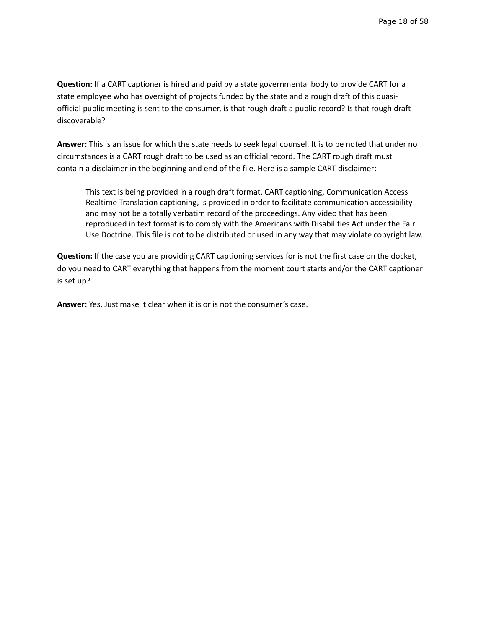**Question:** If a CART captioner is hired and paid by a state governmental body to provide CART for a state employee who has oversight of projects funded by the state and a rough draft of this quasiofficial public meeting is sent to the consumer, is that rough draft a public record? Is that rough draft discoverable?

**Answer:** This is an issue for which the state needs to seek legal counsel. It is to be noted that under no circumstances is a CART rough draft to be used as an official record. The CART rough draft must contain a disclaimer in the beginning and end of the file. Here is a sample CART disclaimer:

This text is being provided in a rough draft format. CART captioning, Communication Access Realtime Translation captioning, is provided in order to facilitate communication accessibility and may not be a totally verbatim record of the proceedings. Any video that has been reproduced in text format is to comply with the Americans with Disabilities Act under the Fair Use Doctrine. This file is not to be distributed or used in any way that may violate copyright law.

**Question:** If the case you are providing CART captioning services for is not the first case on the docket, do you need to CART everything that happens from the moment court starts and/or the CART captioner is set up?

**Answer:** Yes. Just make it clear when it is or is not the consumer's case.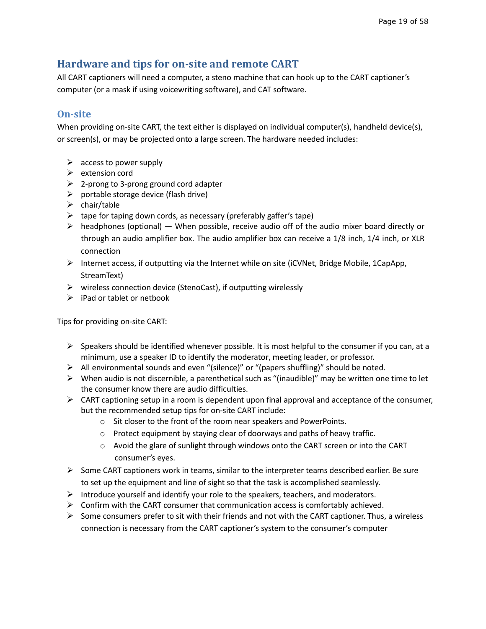# **Hardware and tips for on-site and remote CART**

All CART captioners will need a computer, a steno machine that can hook up to the CART captioner's computer (or a mask if using voicewriting software), and CAT software.

# **On-site**

When providing on-site CART, the text either is displayed on individual computer(s), handheld device(s), or screen(s), or may be projected onto a large screen. The hardware needed includes:

- $\triangleright$  access to power supply
- $\triangleright$  extension cord
- 2-prong to 3-prong ground cord adapter
- $\triangleright$  portable storage device (flash drive)
- $\triangleright$  chair/table
- $\triangleright$  tape for taping down cords, as necessary (preferably gaffer's tape)
- $\triangleright$  headphones (optional) When possible, receive audio off of the audio mixer board directly or through an audio amplifier box. The audio amplifier box can receive a 1/8 inch, 1/4 inch, or XLR connection
- Internet access, if outputting via the Internet while on site (iCVNet, Bridge Mobile, 1CapApp, StreamText)
- $\triangleright$  wireless connection device (StenoCast), if outputting wirelessly
- $\triangleright$  iPad or tablet or netbook

Tips for providing on-site CART:

- $\triangleright$  Speakers should be identified whenever possible. It is most helpful to the consumer if you can, at a minimum, use a speaker ID to identify the moderator, meeting leader, or professor.
- $\triangleright$  All environmental sounds and even "(silence)" or "(papers shuffling)" should be noted.
- $\triangleright$  When audio is not discernible, a parenthetical such as "(inaudible)" may be written one time to let the consumer know there are audio difficulties.
- $\triangleright$  CART captioning setup in a room is dependent upon final approval and acceptance of the consumer, but the recommended setup tips for on-site CART include:
	- o Sit closer to the front of the room near speakers and PowerPoints.
	- $\circ$  Protect equipment by staying clear of doorways and paths of heavy traffic.
	- o Avoid the glare of sunlight through windows onto the CART screen or into the CART consumer's eyes.
- $\triangleright$  Some CART captioners work in teams, similar to the interpreter teams described earlier. Be sure to set up the equipment and line of sight so that the task is accomplished seamlessly.
- Introduce yourself and identify your role to the speakers, teachers, and moderators.
- $\triangleright$  Confirm with the CART consumer that communication access is comfortably achieved.
- $\triangleright$  Some consumers prefer to sit with their friends and not with the CART captioner. Thus, a wireless connection is necessary from the CART captioner's system to the consumer's computer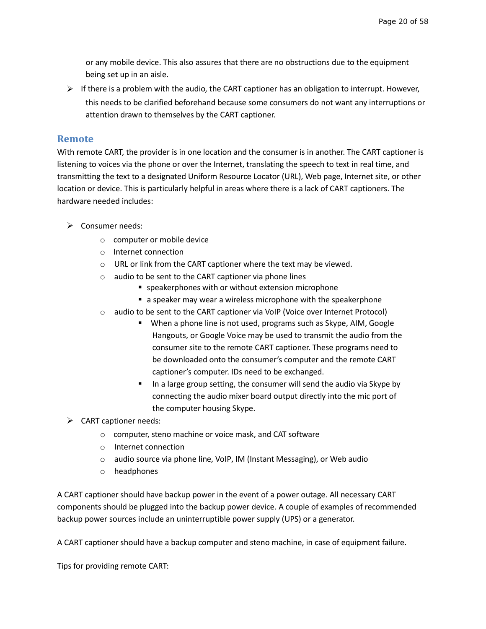or any mobile device. This also assures that there are no obstructions due to the equipment being set up in an aisle.

 $\triangleright$  If there is a problem with the audio, the CART captioner has an obligation to interrupt. However, this needs to be clarified beforehand because some consumers do not want any interruptions or attention drawn to themselves by the CART captioner.

## **Remote**

With remote CART, the provider is in one location and the consumer is in another. The CART captioner is listening to voices via the phone or over the Internet, translating the speech to text in real time, and transmitting the text to a designated Uniform Resource Locator (URL), Web page, Internet site, or other location or device. This is particularly helpful in areas where there is a lack of CART captioners. The hardware needed includes:

- $\triangleright$  Consumer needs:
	- o computer or mobile device
	- o Internet connection
	- o URL or link from the CART captioner where the text may be viewed.
	- o audio to be sent to the CART captioner via phone lines
		- **speakerphones with or without extension microphone**
		- a speaker may wear a wireless microphone with the speakerphone
	- o audio to be sent to the CART captioner via VoIP (Voice over Internet Protocol)
		- **When a phone line is not used, programs such as Skype, AIM, Google** Hangouts, or Google Voice may be used to transmit the audio from the consumer site to the remote CART captioner. These programs need to be downloaded onto the consumer's computer and the remote CART captioner's computer. IDs need to be exchanged.
		- In a large group setting, the consumer will send the audio via Skype by connecting the audio mixer board output directly into the mic port of the computer housing Skype.
- $\triangleright$  CART captioner needs:
	- o computer, steno machine or voice mask, and CAT software
	- o Internet connection
	- o audio source via phone line, VoIP, IM (Instant Messaging), or Web audio
	- o headphones

A CART captioner should have backup power in the event of a power outage. All necessary CART components should be plugged into the backup power device. A couple of examples of recommended backup power sources include an uninterruptible power supply (UPS) or a generator.

A CART captioner should have a backup computer and steno machine, in case of equipment failure.

Tips for providing remote CART: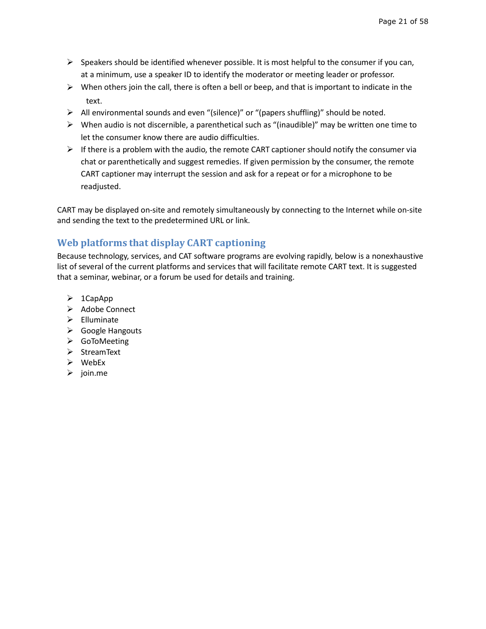- $\triangleright$  Speakers should be identified whenever possible. It is most helpful to the consumer if you can, at a minimum, use a speaker ID to identify the moderator or meeting leader or professor.
- $\triangleright$  When others join the call, there is often a bell or beep, and that is important to indicate in the text.
- $\triangleright$  All environmental sounds and even "(silence)" or "(papers shuffling)" should be noted.
- $\triangleright$  When audio is not discernible, a parenthetical such as "(inaudible)" may be written one time to let the consumer know there are audio difficulties.
- $\triangleright$  If there is a problem with the audio, the remote CART captioner should notify the consumer via chat or parenthetically and suggest remedies. If given permission by the consumer, the remote CART captioner may interrupt the session and ask for a repeat or for a microphone to be readjusted.

CART may be displayed on-site and remotely simultaneously by connecting to the Internet while on-site and sending the text to the predetermined URL or link.

# **Web platforms that display CART captioning**

Because technology, services, and CAT software programs are evolving rapidly, below is a nonexhaustive list of several of the current platforms and services that will facilitate remote CART text. It is suggested that a seminar, webinar, or a forum be used for details and training.

- $\geq 1$ CapApp
- > Adobe Connect
- $\triangleright$  Elluminate
- Google Hangouts
- GoToMeeting
- $\triangleright$  StreamText
- $\triangleright$  WebEx
- $\triangleright$  join.me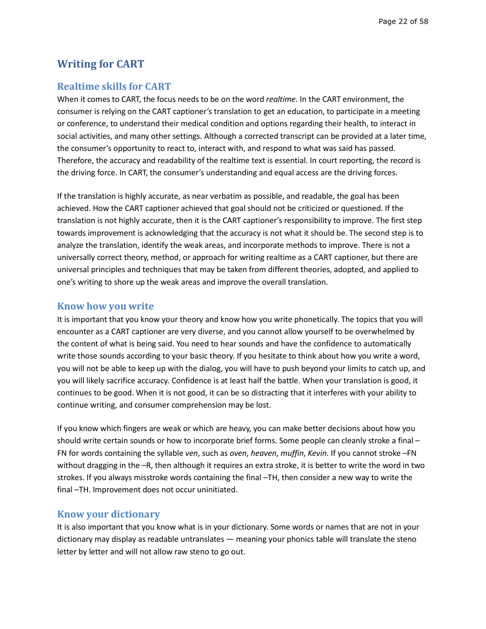# **Writing for CART**

# **Realtime skills for CART**

When it comes to CART, the focus needs to be on the word *realtime*. In the CART environment, the consumer is relying on the CART captioner's translation to get an education, to participate in a meeting or conference, to understand their medical condition and options regarding their health, to interact in social activities, and many other settings. Although a corrected transcript can be provided at a later time, the consumer's opportunity to react to, interact with, and respond to what was said has passed. Therefore, the accuracy and readability of the realtime text is essential. In court reporting, the record is the driving force. In CART, the consumer's understanding and equal access are the driving forces.

If the translation is highly accurate, as near verbatim as possible, and readable, the goal has been achieved. How the CART captioner achieved that goalshould not be criticized or questioned. If the translation is not highly accurate, then it is the CART captioner's responsibility to improve. The first step towards improvement is acknowledging that the accuracy is not what it should be. The second step is to analyze the translation, identify the weak areas, and incorporate methods to improve. There is not a universally correct theory, method, or approach for writing realtime as a CART captioner, but there are universal principles and techniques that may be taken from different theories, adopted, and applied to one's writing to shore up the weak areas and improve the overall translation.

# **Know how you write**

It is important that you know your theory and know how you write phonetically. The topics that you will encounter as a CART captioner are very diverse, and you cannot allow yourself to be overwhelmed by the content of what is being said. You need to hear sounds and have the confidence to automatically write those sounds according to your basic theory. If you hesitate to think about how you write a word, you will not be able to keep up with the dialog, you will have to push beyond your limits to catch up, and you will likely sacrifice accuracy. Confidence is at least half the battle. When your translation is good, it continues to be good. When it is not good, it can be so distracting that it interferes with your ability to continue writing, and consumer comprehension may be lost.

If you know which fingers are weak or which are heavy, you can make better decisions about how you should write certain sounds or how to incorporate brief forms. Some people can cleanly stroke a final – FN for words containing the syllable *ven*, such as *oven*, *heaven*, *muffin*, *Kevin*. If you cannot stroke –FN without dragging in the –R, then although it requires an extra stroke, it is better to write the word in two strokes. If you always misstroke words containing the final –TH, then consider a new way to write the final –TH. Improvement does not occur uninitiated.

# **Know your dictionary**

It is also important that you know what is in your dictionary. Some words or names that are not in your dictionary may display as readable untranslates — meaning your phonics table will translate the steno letter by letter and will not allow raw steno to go out.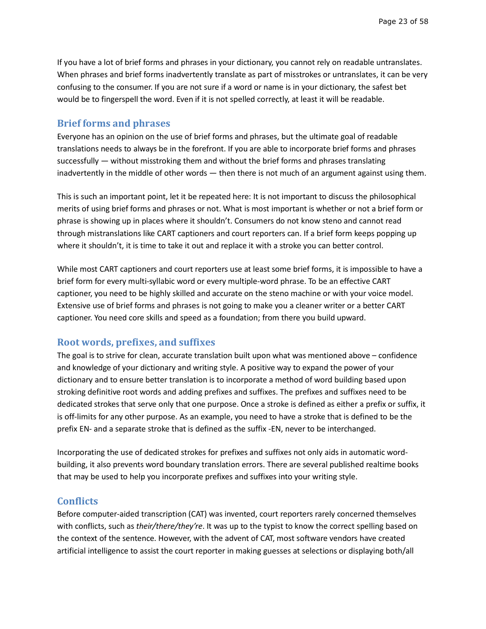If you have a lot of brief forms and phrases in your dictionary, you cannot rely on readable untranslates. When phrases and brief forms inadvertently translate as part of misstrokes or untranslates, it can be very confusing to the consumer. If you are not sure if a word or name is in your dictionary, the safest bet would be to fingerspell the word. Even if it is not spelled correctly, at least it will be readable.

## **Brief forms and phrases**

Everyone has an opinion on the use of brief forms and phrases, but the ultimate goal of readable translations needs to always be in the forefront. If you are able to incorporate brief forms and phrases successfully — without misstroking them and without the brief forms and phrases translating inadvertently in the middle of other words — then there is not much of an argument against using them.

This is such an important point, let it be repeated here: It is not important to discuss the philosophical merits of using brief forms and phrases or not. What is most important is whether or not a brief form or phrase is showing up in places where it shouldn't. Consumers do not know steno and cannot read through mistranslations like CART captioners and court reporters can. If a brief form keeps popping up where it shouldn't, it is time to take it out and replace it with a stroke you can better control.

While most CART captioners and court reporters use at least some brief forms, it is impossible to have a brief form for every multi-syllabic word or every multiple-word phrase. To be an effective CART captioner, you need to be highly skilled and accurate on the steno machine or with your voice model. Extensive use of brief forms and phrases is not going to make you a cleaner writer or a better CART captioner. You need core skills and speed as a foundation; from there you build upward.

### **Root words, prefixes, and suffixes**

The goal is to strive for clean, accurate translation built upon what was mentioned above – confidence and knowledge of your dictionary and writing style. A positive way to expand the power of your dictionary and to ensure better translation is to incorporate a method of word building based upon stroking definitive root words and adding prefixes and suffixes. The prefixes and suffixes need to be dedicated strokes that serve only that one purpose. Once a stroke is defined as either a prefix or suffix, it is off-limits for any other purpose. As an example, you need to have a stroke that is defined to be the prefix EN- and a separate stroke that is defined as the suffix -EN, never to be interchanged.

Incorporating the use of dedicated strokes for prefixes and suffixes not only aids in automatic wordbuilding, it also prevents word boundary translation errors. There are several published realtime books that may be used to help you incorporate prefixes and suffixes into your writing style.

### **Conflicts**

Before computer-aided transcription (CAT) was invented, court reporters rarely concerned themselves with conflicts, such as *their/there/they're*. It was up to the typist to know the correct spelling based on the context of the sentence. However, with the advent of CAT, most software vendors have created artificial intelligence to assist the court reporter in making guesses at selections or displaying both/all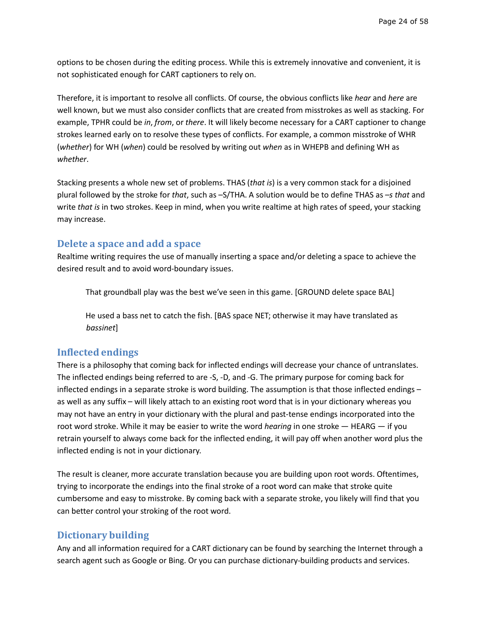options to be chosen during the editing process. While this is extremely innovative and convenient, it is not sophisticated enough for CART captioners to rely on.

Therefore, it is important to resolve all conflicts. Of course, the obvious conflicts like *hear* and *here* are well known, but we must also consider conflicts that are created from misstrokes as well as stacking. For example, TPHR could be *in*, *from*, or *there*. It will likely become necessary for a CART captioner to change strokes learned early on to resolve these types of conflicts. For example, a common misstroke of WHR (*whether*) for WH (*when*) could be resolved by writing out *when* as in WHEPB and defining WH as *whether*.

Stacking presents a whole new set of problems. THAS (*that is*) is a very common stack for a disjoined plural followed by the stroke for *that*, such as –S/THA. A solution would be to define THAS as *–s that* and write *that is* in two strokes. Keep in mind, when you write realtime at high rates of speed, your stacking may increase.

## **Delete a space and add a space**

Realtime writing requires the use of manually inserting a space and/or deleting a space to achieve the desired result and to avoid word-boundary issues.

That groundball play was the best we've seen in this game. [GROUND delete space BAL]

He used a bass net to catch the fish. [BAS space NET; otherwise it may have translated as *bassinet*]

### **Inflected endings**

There is a philosophy that coming back for inflected endings will decrease your chance of untranslates. The inflected endings being referred to are -S, -D, and -G. The primary purpose for coming back for inflected endings in a separate stroke is word building. The assumption is that those inflected endings – as well as any suffix – will likely attach to an existing root word that is in your dictionary whereas you may not have an entry in your dictionary with the plural and past-tense endings incorporated into the root word stroke. While it may be easier to write the word *hearing* in one stroke — HEARG — if you retrain yourself to always come back for the inflected ending, it will pay off when another word plus the inflected ending is not in your dictionary.

The result is cleaner, more accurate translation because you are building upon root words. Oftentimes, trying to incorporate the endings into the final stroke of a root word can make that stroke quite cumbersome and easy to misstroke. By coming back with a separate stroke, you likely will find that you can better control your stroking of the root word.

#### **Dictionary building**

Any and all information required for a CART dictionary can be found by searching the Internet through a search agent such as Google or Bing. Or you can purchase dictionary-building products and services.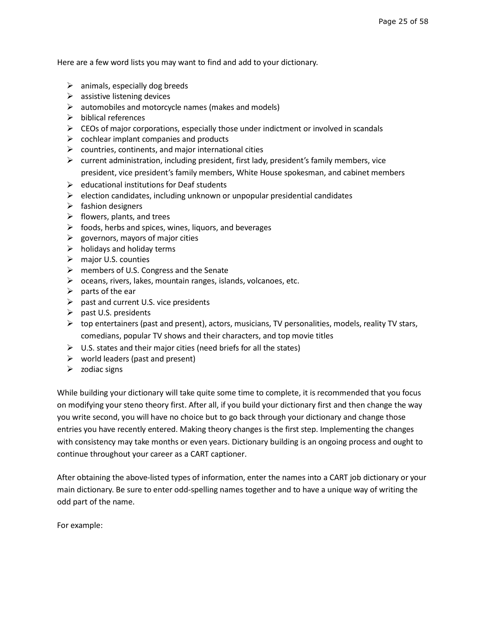Here are a few word lists you may want to find and add to your dictionary.

- $\triangleright$  animals, especially dog breeds
- $\triangleright$  assistive listening devices
- $\triangleright$  automobiles and motorcycle names (makes and models)
- $\triangleright$  biblical references
- $\triangleright$  CEOs of major corporations, especially those under indictment or involved in scandals
- $\triangleright$  cochlear implant companies and products
- $\triangleright$  countries, continents, and major international cities
- $\triangleright$  current administration, including president, first lady, president's family members, vice president, vice president's family members, White House spokesman, and cabinet members
- $\triangleright$  educational institutions for Deaf students
- $\triangleright$  election candidates, including unknown or unpopular presidential candidates
- $\triangleright$  fashion designers
- $\triangleright$  flowers, plants, and trees
- $\triangleright$  foods, herbs and spices, wines, liquors, and beverages
- $\triangleright$  governors, mayors of major cities
- $\triangleright$  holidays and holiday terms
- major U.S. counties
- $\triangleright$  members of U.S. Congress and the Senate
- $\triangleright$  oceans, rivers, lakes, mountain ranges, islands, volcanoes, etc.
- $\triangleright$  parts of the ear
- $\triangleright$  past and current U.S. vice presidents
- $\triangleright$  past U.S. presidents
- $\triangleright$  top entertainers (past and present), actors, musicians, TV personalities, models, reality TV stars, comedians, popular TV shows and their characters, and top movie titles
- $\triangleright$  U.S. states and their major cities (need briefs for all the states)
- $\triangleright$  world leaders (past and present)
- $\triangleright$  zodiac signs

While building your dictionary will take quite some time to complete, it is recommended that you focus on modifying your steno theory first. After all, if you build your dictionary first and then change the way you write second, you will have no choice but to go back through your dictionary and change those entries you have recently entered. Making theory changes is the first step. Implementing the changes with consistency may take months or even years. Dictionary building is an ongoing process and ought to continue throughout your career as a CART captioner.

After obtaining the above-listed types of information, enter the names into a CART job dictionary or your main dictionary. Be sure to enter odd-spelling names together and to have a unique way of writing the odd part of the name.

For example: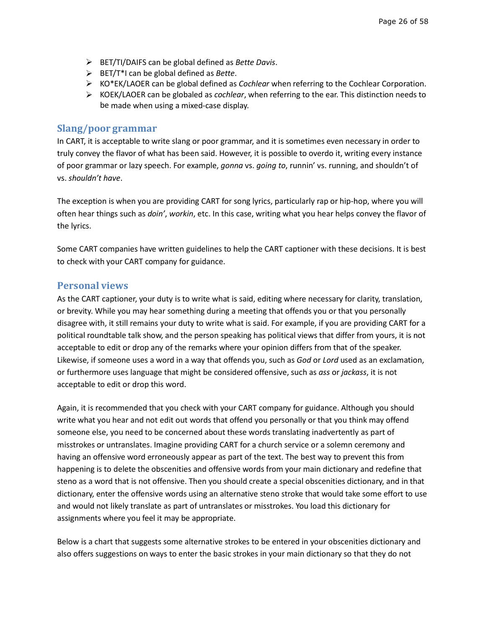- BET/TI/DAIFS can be global defined as *Bette Davis*.
- BET/T\*I can be global defined as *Bette*.
- KO\*EK/LAOER can be global defined as *Cochlear* when referring to the Cochlear Corporation.
- KOEK/LAOER can be globaled as *cochlear*, when referring to the ear. This distinction needs to be made when using a mixed-case display.

### **Slang/poor grammar**

In CART, it is acceptable to write slang or poor grammar, and it is sometimes even necessary in order to truly convey the flavor of what has been said. However, it is possible to overdo it, writing every instance of poor grammar or lazy speech. For example, *gonna* vs. *going to*, runnin' vs. running, and shouldn't of vs. *shouldn't have*.

The exception is when you are providing CART for song lyrics, particularly rap or hip-hop, where you will often hear things such as *doin'*, *workin*, etc. In this case, writing what you hear helps convey the flavor of the lyrics.

Some CART companies have written guidelines to help the CART captioner with these decisions. It is best to check with your CART company for guidance.

### **Personal views**

As the CART captioner, your duty is to write what is said, editing where necessary for clarity, translation, or brevity. While you may hear something during a meeting that offends you or that you personally disagree with, it still remains your duty to write what is said. For example, if you are providing CART for a political roundtable talk show, and the person speaking has political views that differ from yours, it is not acceptable to edit or drop any of the remarks where your opinion differs from that of the speaker. Likewise, if someone uses a word in a way that offends you, such as *God* or *Lord* used as an exclamation, or furthermore uses language that might be considered offensive, such as *ass* or *jackass*, it is not acceptable to edit or drop this word.

Again, it is recommended that you check with your CART company for guidance. Although you should write what you hear and not edit out words that offend you personally or that you think may offend someone else, you need to be concerned about these words translating inadvertently as part of misstrokes or untranslates. Imagine providing CART for a church service or a solemn ceremony and having an offensive word erroneously appear as part of the text. The best way to prevent this from happening is to delete the obscenities and offensive words from your main dictionary and redefine that steno as a word that is not offensive. Then you should create a special obscenities dictionary, and in that dictionary, enter the offensive words using an alternative steno stroke that would take some effort to use and would not likely translate as part of untranslates or misstrokes. You load this dictionary for assignments where you feel it may be appropriate.

Below is a chart that suggests some alternative strokes to be entered in your obscenities dictionary and also offers suggestions on ways to enter the basic strokes in your main dictionary so that they do not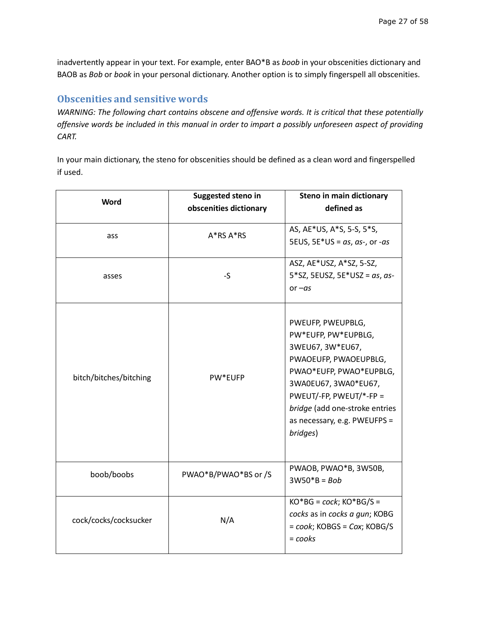inadvertently appear in your text. For example, enter BAO\*B as *boob* in your obscenities dictionary and BAOB as *Bob* or *book* in your personal dictionary. Another option is to simply fingerspell all obscenities.

## **Obscenities and sensitive words**

*WARNING: The following chart contains obscene and offensive words. It is critical that these potentially offensive words be included in this manual in order to impart a possibly unforeseen aspect of providing CART.*

In your main dictionary, the steno for obscenities should be defined as a clean word and fingerspelled if used.

| <b>Word</b>            | Suggested steno in     | <b>Steno in main dictionary</b>                                                                                                                                                                                                                   |
|------------------------|------------------------|---------------------------------------------------------------------------------------------------------------------------------------------------------------------------------------------------------------------------------------------------|
|                        | obscenities dictionary | defined as                                                                                                                                                                                                                                        |
| ass                    | $A*RS A*RS$            | AS, AE*US, A*S, 5-S, 5*S,<br>5EUS, $5E*US = as$ , $as$ -, or - $as$                                                                                                                                                                               |
| asses                  | $-S$                   | ASZ, AE*USZ, A*SZ, 5-SZ,<br>$5*SZ$ , $5EUSZ$ , $5E*USZ = as$ , $as-$<br>$or -as$                                                                                                                                                                  |
| bitch/bitches/bitching | PW*EUFP                | PWEUFP, PWEUPBLG,<br>PW*EUFP, PW*EUPBLG,<br>3WEU67, 3W*EU67,<br>PWAOEUFP, PWAOEUPBLG,<br>PWAO*EUFP, PWAO*EUPBLG,<br>3WA0EU67, 3WA0*EU67,<br>PWEUT/-FP, PWEUT/*-FP =<br>bridge (add one-stroke entries<br>as necessary, e.g. PWEUFPS =<br>bridges) |
| boob/boobs             | PWAO*B/PWAO*BS or /S   | PWAOB, PWAO*B, 3W50B,<br>$3W50*B = Bob$                                                                                                                                                                                                           |
| cock/cocks/cocksucker  | N/A                    | $KO*BG = cock; KO*BG/S =$<br>cocks as in cocks a gun; KOBG<br>= cook; KOBGS = Cox; KOBG/S<br>$=$ cooks                                                                                                                                            |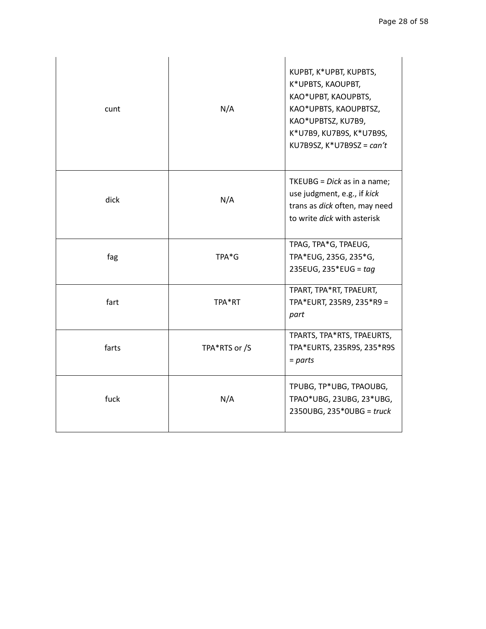| cunt  | N/A                | KUPBT, K*UPBT, KUPBTS,<br>K*UPBTS, KAOUPBT,<br>KAO*UPBT, KAOUPBTS,<br>KAO*UPBTS, KAOUPBTSZ,<br>KAO*UPBTSZ, KU7B9,<br>K*U7B9, KU7B9S, K*U7B9S,<br>KU7B9SZ, K*U7B9SZ = $can't$ |
|-------|--------------------|------------------------------------------------------------------------------------------------------------------------------------------------------------------------------|
| dick  | N/A                | TKEUBG = $Dick$ as in a name;<br>use judgment, e.g., if kick<br>trans as dick often, may need<br>to write dick with asterisk                                                 |
| fag   | TPA <sup>*</sup> G | TPAG, TPA*G, TPAEUG,<br>TPA*EUG, 235G, 235*G,<br>235EUG, 235 $*$ EUG = tag                                                                                                   |
| fart  | TPA*RT             | TPART, TPA*RT, TPAEURT,<br>TPA*EURT, 235R9, 235*R9 =<br>part                                                                                                                 |
| farts | TPA*RTS or /S      | TPARTS, TPA*RTS, TPAEURTS,<br>TPA*EURTS, 235R9S, 235*R9S<br>$= parts$                                                                                                        |
| fuck  | N/A                | TPUBG, TP*UBG, TPAOUBG,<br>TPAO*UBG, 23UBG, 23*UBG,<br>2350UBG, 235*0UBG = truck                                                                                             |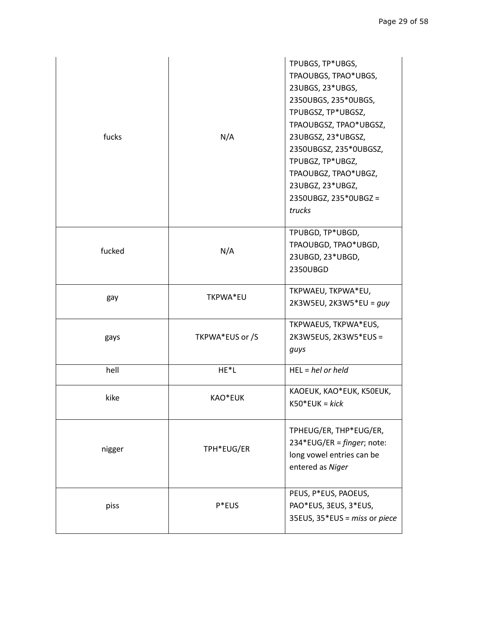| fucks  | N/A             | TPUBGS, TP*UBGS,<br>TPAOUBGS, TPAO*UBGS,<br>23UBGS, 23*UBGS,<br>2350UBGS, 235*0UBGS,<br>TPUBGSZ, TP*UBGSZ,<br>TPAOUBGSZ, TPAO*UBGSZ,<br>23UBGSZ, 23*UBGSZ,<br>2350UBGSZ, 235*0UBGSZ,<br>TPUBGZ, TP*UBGZ,<br>TPAOUBGZ, TPAO*UBGZ,<br>23UBGZ, 23*UBGZ,<br>2350UBGZ, 235*0UBGZ =<br>trucks |
|--------|-----------------|-----------------------------------------------------------------------------------------------------------------------------------------------------------------------------------------------------------------------------------------------------------------------------------------|
| fucked | N/A             | TPUBGD, TP*UBGD,<br>TPAOUBGD, TPAO*UBGD,<br>23UBGD, 23*UBGD,<br>2350UBGD                                                                                                                                                                                                                |
| gay    | TKPWA*EU        | TKPWAEU, TKPWA*EU,<br>2K3W5EU, 2K3W5*EU = $guy$                                                                                                                                                                                                                                         |
| gays   | TKPWA*EUS or /S | TKPWAEUS, TKPWA*EUS,<br>2K3W5EUS, 2K3W5*EUS =<br>guys                                                                                                                                                                                                                                   |
| hell   | $HE*L$          | $HEL = hel$ or held                                                                                                                                                                                                                                                                     |
| kike   | KAO*EUK         | KAOEUK, KAO*EUK, K50EUK,<br>$K50*EUK = kick$                                                                                                                                                                                                                                            |
| nigger | TPH*EUG/ER      | TPHEUG/ER, THP*EUG/ER,<br>234*EUG/ER = finger; note:<br>long vowel entries can be<br>entered as Niger                                                                                                                                                                                   |
| piss   | P*EUS           | PEUS, P*EUS, PAOEUS,<br>PAO*EUS, 3EUS, 3*EUS,<br>35EUS, 35*EUS = miss or piece                                                                                                                                                                                                          |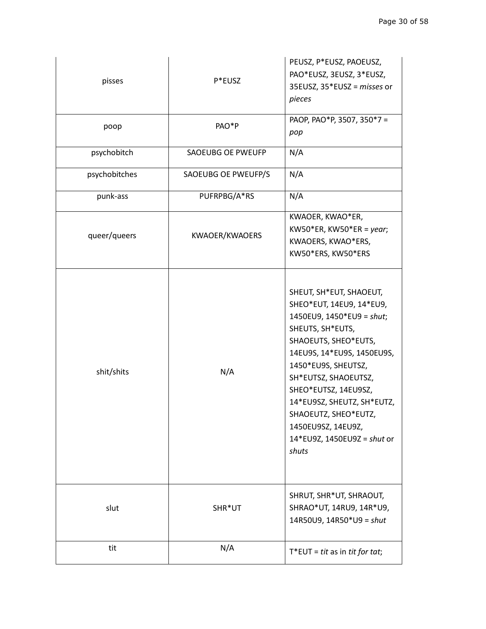| pisses        | P*EUSZ              | PEUSZ, P*EUSZ, PAOEUSZ,<br>PAO*EUSZ, 3EUSZ, 3*EUSZ,<br>35EUSZ, 35*EUSZ = misses or<br>pieces                                                                                                                                                                                                                                                          |
|---------------|---------------------|-------------------------------------------------------------------------------------------------------------------------------------------------------------------------------------------------------------------------------------------------------------------------------------------------------------------------------------------------------|
| poop          | PAO <sup>*</sup> P  | PAOP, PAO*P, 3507, 350*7 =<br>pop                                                                                                                                                                                                                                                                                                                     |
| psychobitch   | SAOEUBG OE PWEUFP   | N/A                                                                                                                                                                                                                                                                                                                                                   |
| psychobitches | SAOEUBG OE PWEUFP/S | N/A                                                                                                                                                                                                                                                                                                                                                   |
| punk-ass      | PUFRPBG/A*RS        | N/A                                                                                                                                                                                                                                                                                                                                                   |
| queer/queers  | KWAOER/KWAOERS      | KWAOER, KWAO*ER,<br>$KW50*ER, KW50*ER = year;$<br>KWAOERS, KWAO*ERS,<br>KW50*ERS, KW50*ERS                                                                                                                                                                                                                                                            |
| shit/shits    | N/A                 | SHEUT, SH*EUT, SHAOEUT,<br>SHEO*EUT, 14EU9, 14*EU9,<br>1450EU9, 1450*EU9 = shut;<br>SHEUTS, SH*EUTS,<br>SHAOEUTS, SHEO*EUTS,<br>14EU9S, 14*EU9S, 1450EU9S,<br>1450*EU9S, SHEUTSZ,<br>SH*EUTSZ, SHAOEUTSZ,<br>SHEO*EUTSZ, 14EU9SZ,<br>14*EU9SZ, SHEUTZ, SH*EUTZ,<br>SHAOEUTZ, SHEO*EUTZ,<br>1450EU9SZ, 14EU9Z,<br>14*EU9Z, 1450EU9Z = shut or<br>shuts |
| slut          | SHR*UT              | SHRUT, SHR*UT, SHRAOUT,<br>SHRAO*UT, 14RU9, 14R*U9,<br>14R50U9, 14R50*U9 = shut                                                                                                                                                                                                                                                                       |
| tit           | N/A                 | $T^*$ EUT = tit as in tit for tat;                                                                                                                                                                                                                                                                                                                    |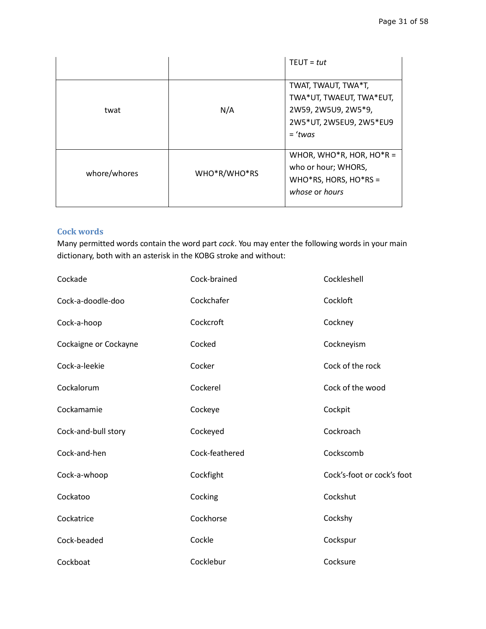|              |              | $TEUT = tut$                                                                                                   |
|--------------|--------------|----------------------------------------------------------------------------------------------------------------|
| twat         | N/A          | TWAT, TWAUT, TWA*T,<br>TWA*UT, TWAEUT, TWA*EUT,<br>2W59, 2W5U9, 2W5*9,<br>2W5*UT, 2W5EU9, 2W5*EU9<br>$=$ 'twas |
| whore/whores | WHO*R/WHO*RS | WHOR, WHO*R, HOR, $HO^*R =$<br>who or hour; WHORS,<br>WHO*RS, HORS, $HO*RS =$<br>whose or hours                |

# **Cock words**

Many permitted words contain the word part *cock*. You may enter the following words in your main dictionary, both with an asterisk in the KOBG stroke and without:

| Cockade               | Cock-brained   | Cockleshell                |
|-----------------------|----------------|----------------------------|
| Cock-a-doodle-doo     | Cockchafer     | Cockloft                   |
| Cock-a-hoop           | Cockcroft      | Cockney                    |
| Cockaigne or Cockayne | Cocked         | Cockneyism                 |
| Cock-a-leekie         | Cocker         | Cock of the rock           |
| Cockalorum            | Cockerel       | Cock of the wood           |
| Cockamamie            | Cockeye        | Cockpit                    |
| Cock-and-bull story   | Cockeyed       | Cockroach                  |
| Cock-and-hen          | Cock-feathered | Cockscomb                  |
| Cock-a-whoop          | Cockfight      | Cock's-foot or cock's foot |
| Cockatoo              | Cocking        | Cockshut                   |
| Cockatrice            | Cockhorse      | Cockshy                    |
| Cock-beaded           | Cockle         | Cockspur                   |
| Cockboat              | Cocklebur      | Cocksure                   |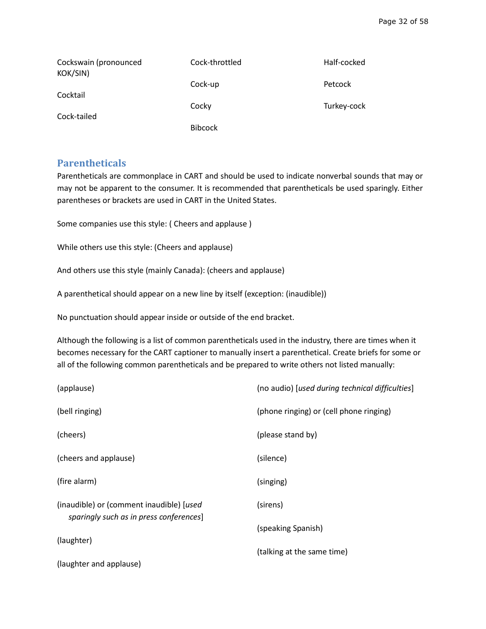| Cockswain (pronounced<br>KOK/SIN) | Cock-throttled | Half-cocked |
|-----------------------------------|----------------|-------------|
|                                   | Cock-up        | Petcock     |
| Cocktail                          | Cocky          | Turkey-cock |
| Cock-tailed                       |                |             |
|                                   | <b>Bibcock</b> |             |

# **Parentheticals**

Parentheticals are commonplace in CART and should be used to indicate nonverbal sounds that may or may not be apparent to the consumer. It is recommended that parentheticals be used sparingly. Either parentheses or brackets are used in CART in the United States.

Some companies use this style: ( Cheers and applause )

While others use this style: (Cheers and applause)

And others use this style (mainly Canada): (cheers and applause)

A parenthetical should appear on a new line by itself (exception: (inaudible))

No punctuation should appear inside or outside of the end bracket.

Although the following is a list of common parentheticals used in the industry, there are times when it becomes necessary for the CART captioner to manually insert a parenthetical. Create briefs for some or all of the following common parentheticals and be prepared to write others not listed manually:

| (applause)                               | (no audio) [used during technical difficulties] |
|------------------------------------------|-------------------------------------------------|
| (bell ringing)                           | (phone ringing) or (cell phone ringing)         |
| (cheers)                                 | (please stand by)                               |
| (cheers and applause)                    | (silence)                                       |
| (fire alarm)                             | (singing)                                       |
| (inaudible) or (comment inaudible) [used | (sirens)                                        |
| sparingly such as in press conferences]  | (speaking Spanish)                              |
| (laughter)                               | (talking at the same time)                      |
| (laughter and applause)                  |                                                 |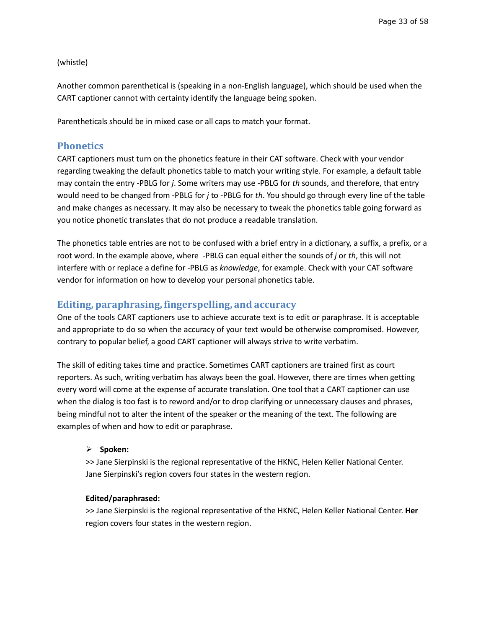(whistle)

Another common parenthetical is (speaking in a non-English language), which should be used when the CART captioner cannot with certainty identify the language being spoken.

Parentheticals should be in mixed case or all caps to match your format.

## **Phonetics**

CART captioners must turn on the phonetics feature in their CAT software. Check with your vendor regarding tweaking the default phonetics table to match your writing style. For example, a default table may contain the entry -PBLG for *j*. Some writers may use -PBLG for *th* sounds, and therefore, that entry would need to be changed from -PBLG for *j* to -PBLG for *th*. You should go through every line of the table and make changes as necessary. It may also be necessary to tweak the phonetics table going forward as you notice phonetic translates that do not produce a readable translation.

The phonetics table entries are not to be confused with a brief entry in a dictionary, a suffix, a prefix, or a root word. In the example above, where -PBLG can equal either the sounds of *j* or *th*, this will not interfere with or replace a define for -PBLG as *knowledge*, for example. Check with your CAT software vendor for information on how to develop your personal phonetics table.

## **Editing, paraphrasing,fingerspelling, and accuracy**

One of the tools CART captioners use to achieve accurate text is to edit or paraphrase. It is acceptable and appropriate to do so when the accuracy of your text would be otherwise compromised. However, contrary to popular belief, a good CART captioner will always strive to write verbatim.

The skill of editing takes time and practice. Sometimes CART captioners are trained first as court reporters. As such, writing verbatim has always been the goal. However, there are times when getting every word will come at the expense of accurate translation. One tool that a CART captioner can use when the dialog is too fast is to reword and/or to drop clarifying or unnecessary clauses and phrases, being mindful not to alter the intent of the speaker or the meaning of the text. The following are examples of when and how to edit or paraphrase.

#### **Spoken:**

>> Jane Sierpinski is the regional representative of the HKNC, Helen Keller National Center. Jane Sierpinski's region covers four states in the western region.

#### **Edited/paraphrased:**

>> Jane Sierpinski is the regional representative of the HKNC, Helen Keller National Center. **Her** region covers four states in the western region.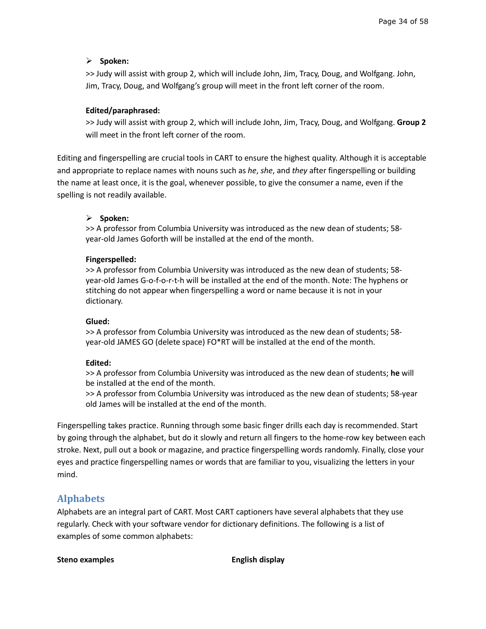#### **Spoken:**

>> Judy will assist with group 2, which will include John, Jim, Tracy, Doug, and Wolfgang. John, Jim, Tracy, Doug, and Wolfgang's group will meet in the front left corner of the room.

#### **Edited/paraphrased:**

>> Judy will assist with group 2, which will include John, Jim, Tracy, Doug, and Wolfgang. **Group 2** will meet in the front left corner of the room.

Editing and fingerspelling are crucial tools in CART to ensure the highest quality. Although it is acceptable and appropriate to replace names with nouns such as *he*, *she*, and *they* after fingerspelling or building the name at least once, it is the goal, whenever possible, to give the consumer a name, even if the spelling is not readily available.

#### **Spoken:**

>> A professor from Columbia University was introduced as the new dean of students; 58 year-old James Goforth will be installed at the end of the month.

#### **Fingerspelled:**

>> A professor from Columbia University was introduced as the new dean of students; 58 year-old James G-o-f-o-r-t-h will be installed at the end of the month. Note: The hyphens or stitching do not appear when fingerspelling a word or name because it is not in your dictionary.

#### **Glued:**

>> A professor from Columbia University was introduced as the new dean of students; 58 year-old JAMES GO (delete space) FO\*RT will be installed at the end of the month.

#### **Edited:**

>> A professor from Columbia University was introduced as the new dean of students; **he** will be installed at the end of the month.

>> A professor from Columbia University was introduced as the new dean of students; 58-year old James will be installed at the end of the month.

Fingerspelling takes practice. Running through some basic finger drills each day is recommended. Start by going through the alphabet, but do it slowly and return all fingers to the home-row key between each stroke. Next, pull out a book or magazine, and practice fingerspelling words randomly. Finally, close your eyes and practice fingerspelling names or words that are familiar to you, visualizing the letters in your mind.

# **Alphabets**

Alphabets are an integral part of CART. Most CART captioners have several alphabets that they use regularly. Check with your software vendor for dictionary definitions. The following is a list of examples of some common alphabets:

#### **Steno examples English display**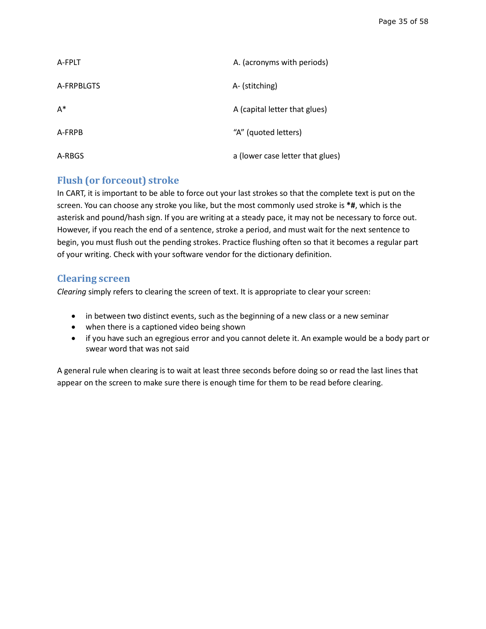| A-FPLT     | A. (acronyms with periods)       |  |
|------------|----------------------------------|--|
| A-FRPBLGTS | A- (stitching)                   |  |
| $A^*$      | A (capital letter that glues)    |  |
| A-FRPB     | "A" (quoted letters)             |  |
| A-RBGS     | a (lower case letter that glues) |  |

# **Flush (or forceout) stroke**

In CART, it is important to be able to force out your last strokes so that the complete text is put on the screen. You can choose any stroke you like, but the most commonly used stroke is **\*#**, which is the asterisk and pound/hash sign. If you are writing at a steady pace, it may not be necessary to force out. However, if you reach the end of a sentence, stroke a period, and must wait for the next sentence to begin, you must flush out the pending strokes. Practice flushing often so that it becomes a regular part of your writing. Check with your software vendor for the dictionary definition.

# **Clearing screen**

*Clearing* simply refers to clearing the screen of text. It is appropriate to clear your screen:

- in between two distinct events, such as the beginning of a new class or a new seminar
- when there is a captioned video being shown
- if you have such an egregious error and you cannot delete it. An example would be a body part or swear word that was not said

A general rule when clearing is to wait at least three seconds before doing so or read the last lines that appear on the screen to make sure there is enough time for them to be read before clearing.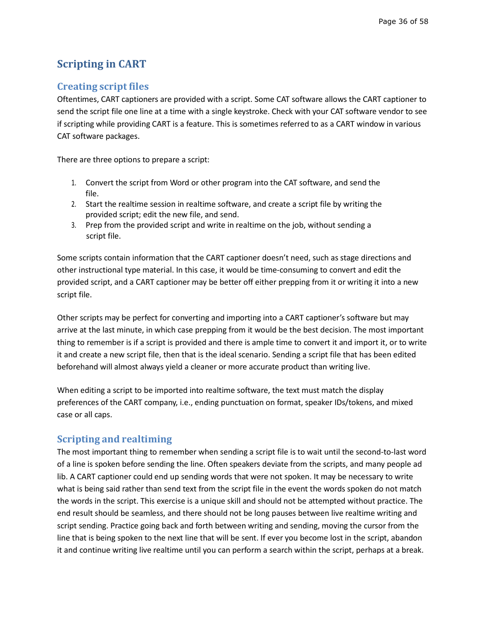# **Scripting in CART**

# **Creating script files**

Oftentimes, CART captioners are provided with a script. Some CAT software allows the CART captioner to send the script file one line at a time with a single keystroke. Check with your CAT software vendor to see if scripting while providing CART is a feature. This is sometimes referred to as a CART window in various CAT software packages.

There are three options to prepare a script:

- 1. Convert the script from Word or other program into the CAT software, and send the file.
- 2. Start the realtime session in realtime software, and create a script file by writing the provided script; edit the new file, and send.
- 3. Prep from the provided script and write in realtime on the job, without sending a script file.

Some scripts contain information that the CART captioner doesn't need, such as stage directions and other instructional type material. In this case, it would be time-consuming to convert and edit the provided script, and a CART captioner may be better off either prepping from it or writing it into a new script file.

Other scripts may be perfect for converting and importing into a CART captioner's software but may arrive at the last minute, in which case prepping from it would be the best decision. The most important thing to remember is if a script is provided and there is ample time to convert it and import it, or to write it and create a new script file, then that is the ideal scenario. Sending a script file that has been edited beforehand will almost always yield a cleaner or more accurate product than writing live.

When editing a script to be imported into realtime software, the text must match the display preferences of the CART company, i.e., ending punctuation on format, speaker IDs/tokens, and mixed case or all caps.

# **Scripting and realtiming**

The most important thing to remember when sending a script file is to wait until the second-to-last word of a line is spoken before sending the line. Often speakers deviate from the scripts, and many people ad lib. A CART captioner could end up sending words that were not spoken. It may be necessary to write what is being said rather than send text from the script file in the event the words spoken do not match the words in the script. This exercise is a unique skill and should not be attempted without practice. The end result should be seamless, and there should not be long pauses between live realtime writing and script sending. Practice going back and forth between writing and sending, moving the cursor from the line that is being spoken to the next line that will be sent. If ever you become lost in the script, abandon it and continue writing live realtime until you can perform a search within the script, perhaps at a break.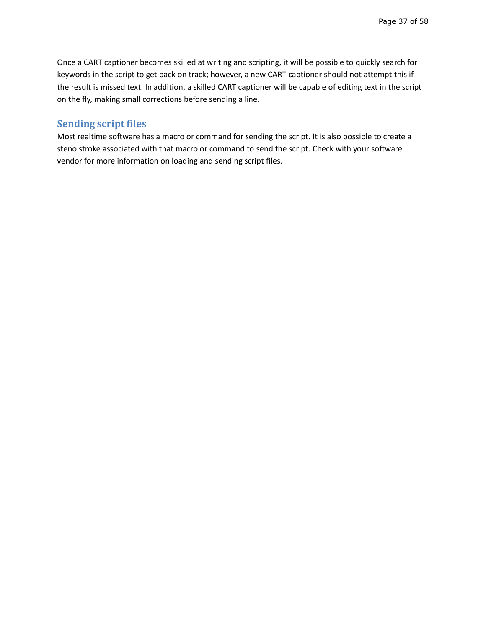Once a CART captioner becomes skilled at writing and scripting, it will be possible to quickly search for keywords in the script to get back on track; however, a new CART captioner should not attempt this if the result is missed text. In addition, a skilled CART captioner will be capable of editing text in the script on the fly, making small corrections before sending a line.

# **Sending script files**

Most realtime software has a macro or command for sending the script. It is also possible to create a steno stroke associated with that macro or command to send the script. Check with your software vendor for more information on loading and sending script files.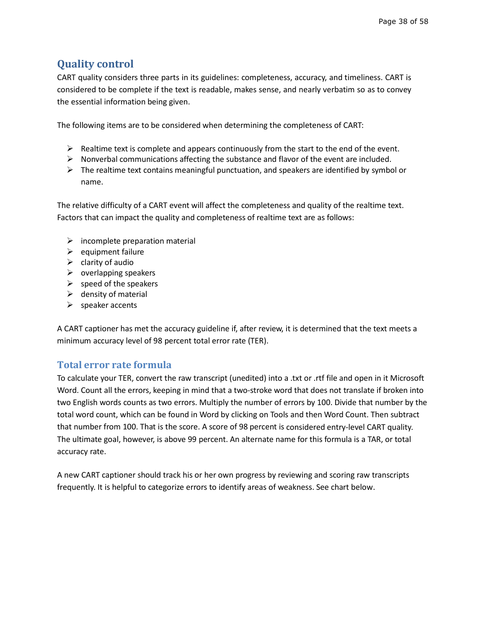# **Quality control**

CART quality considers three parts in its guidelines: completeness, accuracy, and timeliness. CART is considered to be complete if the text is readable, makes sense, and nearly verbatim so as to convey the essential information being given.

The following items are to be considered when determining the completeness of CART:

- $\triangleright$  Realtime text is complete and appears continuously from the start to the end of the event.
- $\triangleright$  Nonverbal communications affecting the substance and flavor of the event are included.
- $\triangleright$  The realtime text contains meaningful punctuation, and speakers are identified by symbol or name.

The relative difficulty of a CART event will affect the completeness and quality of the realtime text. Factors that can impact the quality and completeness of realtime text are as follows:

- $\triangleright$  incomplete preparation material
- $\triangleright$  equipment failure
- $\blacktriangleright$  clarity of audio
- $\triangleright$  overlapping speakers
- $\triangleright$  speed of the speakers
- $\triangleright$  density of material
- $\triangleright$  speaker accents

A CART captioner has met the accuracy guideline if, after review, it is determined that the text meets a minimum accuracy level of 98 percent total error rate (TER).

# **Total error rate formula**

To calculate your TER, convert the raw transcript (unedited) into a .txt or .rtf file and open in it Microsoft Word. Count all the errors, keeping in mind that a two-stroke word that does not translate if broken into two English words counts as two errors. Multiply the number of errors by 100. Divide that number by the total word count, which can be found in Word by clicking on Tools and then Word Count. Then subtract that number from 100. That is the score. A score of 98 percent is considered entry-level CART quality. The ultimate goal, however, is above 99 percent. An alternate name for this formula is a TAR, or total accuracy rate.

A new CART captioner should track his or her own progress by reviewing and scoring raw transcripts frequently. It is helpful to categorize errors to identify areas of weakness. See chart below.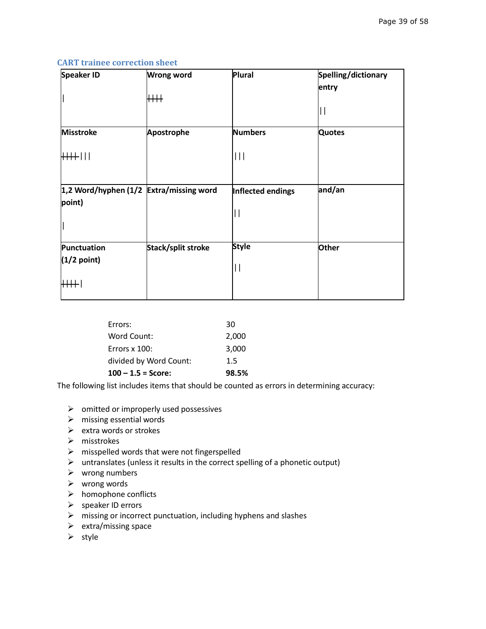## **CART trainee correction sheet**

| Speaker ID                                                                                         | <b>Wrong word</b>  | Plural            | Spelling/dictionary |
|----------------------------------------------------------------------------------------------------|--------------------|-------------------|---------------------|
|                                                                                                    | ╫╫╫                |                   | entry               |
|                                                                                                    |                    |                   | ıι                  |
| Misstroke                                                                                          | Apostrophe         | Numbers           | <b>Quotes</b>       |
| $\left  \downarrow \downarrow \downarrow \downarrow \downarrow \downarrow \right   \left  \right $ |                    | Ш                 |                     |
| 1,2 Word/hyphen $(1/2$ Extra/missing word<br>point)                                                |                    | Inflected endings | and/an              |
|                                                                                                    |                    | Н                 |                     |
| Punctuation                                                                                        | Stack/split stroke | <b>Style</b>      | Other               |
| $(1/2$ point)                                                                                      |                    | $\mathsf{I}$      |                     |
| $\left \left \left \left \left \left \right \right \right \right \right $                          |                    |                   |                     |

| 98.5% |
|-------|
| 1.5   |
| 3,000 |
| 2,000 |
| 30    |
|       |

The following list includes items that should be counted as errors in determining accuracy:

- $\triangleright$  omitted or improperly used possessives
- $\triangleright$  missing essential words
- $\triangleright$  extra words or strokes
- $\triangleright$  misstrokes
- $\triangleright$  misspelled words that were not fingerspelled
- $\triangleright$  untranslates (unless it results in the correct spelling of a phonetic output)
- $\triangleright$  wrong numbers
- $\triangleright$  wrong words
- $\triangleright$  homophone conflicts
- $\triangleright$  speaker ID errors
- $\triangleright$  missing or incorrect punctuation, including hyphens and slashes
- $\triangleright$  extra/missing space
- $\triangleright$  style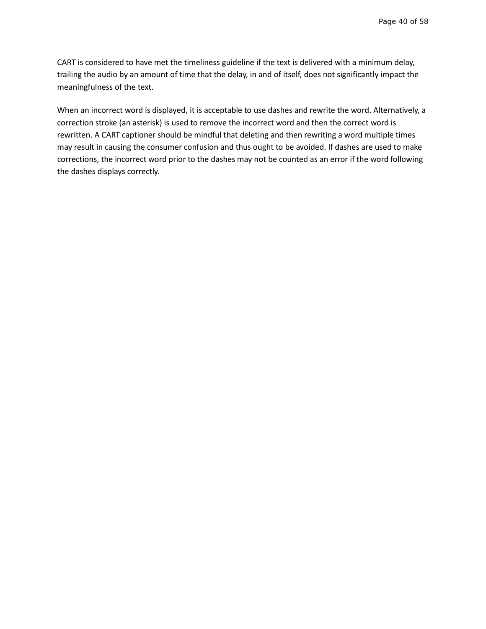CART is considered to have met the timeliness guideline if the text is delivered with a minimum delay, trailing the audio by an amount of time that the delay, in and of itself, does not significantly impact the meaningfulness of the text.

When an incorrect word is displayed, it is acceptable to use dashes and rewrite the word. Alternatively, a correction stroke (an asterisk) is used to remove the incorrect word and then the correct word is rewritten. A CART captioner should be mindful that deleting and then rewriting a word multiple times may result in causing the consumer confusion and thus ought to be avoided. If dashes are used to make corrections, the incorrect word prior to the dashes may not be counted as an error if the word following the dashes displays correctly.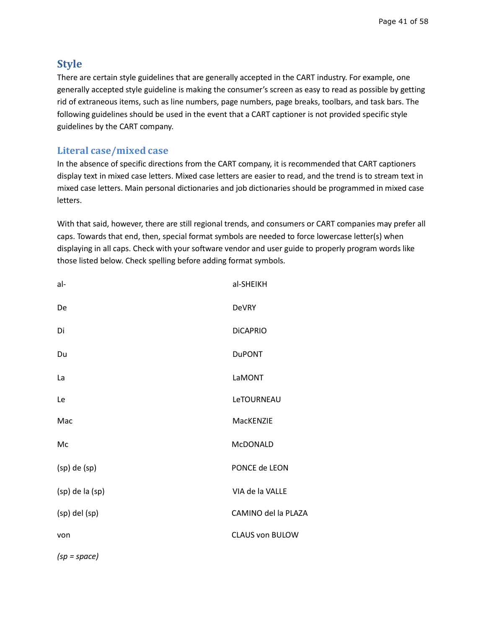# **Style**

There are certain style guidelines that are generally accepted in the CART industry. For example, one generally accepted style guideline is making the consumer's screen as easy to read as possible by getting rid of extraneous items, such as line numbers, page numbers, page breaks, toolbars, and task bars. The following guidelines should be used in the event that a CART captioner is not provided specific style guidelines by the CART company.

# **Literal case/mixed case**

In the absence of specific directions from the CART company, it is recommended that CART captioners display text in mixed case letters. Mixed case letters are easier to read, and the trend is to stream text in mixed case letters. Main personal dictionaries and job dictionaries should be programmed in mixed case letters.

With that said, however, there are still regional trends, and consumers or CART companies may prefer all caps. Towards that end, then, special format symbols are needed to force lowercase letter(s) when displaying in all caps. Check with your software vendor and user guide to properly program words like those listed below. Check spelling before adding format symbols.

| al-               | al-SHEIKH              |
|-------------------|------------------------|
| De                | <b>DeVRY</b>           |
| Di                | <b>DiCAPRIO</b>        |
| Du                | <b>DuPONT</b>          |
| La                | LaMONT                 |
| Le                | LeTOURNEAU             |
| Mac               | MacKENZIE              |
| Mc                | McDONALD               |
| $(sp)$ de $(sp)$  | PONCE de LEON          |
| (sp) de la (sp)   | VIA de la VALLE        |
| $(sp)$ del $(sp)$ | CAMINO del la PLAZA    |
| von               | <b>CLAUS von BULOW</b> |
| $(sp = space)$    |                        |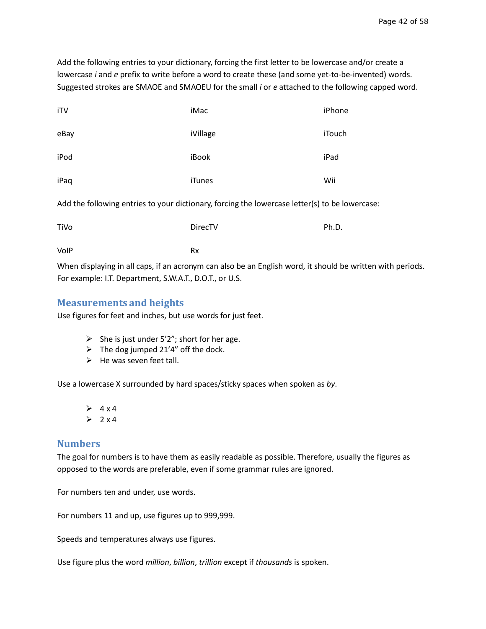Add the following entries to your dictionary, forcing the first letter to be lowercase and/or create a lowercase *i* and *e* prefix to write before a word to create these (and some yet-to-be-invented) words. Suggested strokes are SMAOE and SMAOEU for the small *i* or *e* attached to the following capped word.

| iTV  | iMac     | iPhone |
|------|----------|--------|
| eBay | iVillage | iTouch |
| iPod | iBook    | iPad   |
| iPaq | iTunes   | Wii    |

Add the following entries to your dictionary, forcing the lowercase letter(s) to be lowercase:

| TiVo | DirecTV | Ph.D. |
|------|---------|-------|
| VolP | Rx      |       |

When displaying in all caps, if an acronym can also be an English word, it should be written with periods. For example: I.T. Department, S.W.A.T., D.O.T., or U.S.

## **Measurements and heights**

Use figures for feet and inches, but use words for just feet.

- She is just under 5'2"; short for her age.
- $\triangleright$  The dog jumped 21'4" off the dock.
- $\triangleright$  He was seven feet tall.

Use a lowercase X surrounded by hard spaces/sticky spaces when spoken as *by*.

 $\geq 4 \times 4$  $\geq 2 \times 4$ 

### **Numbers**

The goal for numbers is to have them as easily readable as possible. Therefore, usually the figures as opposed to the words are preferable, even if some grammar rules are ignored.

For numbers ten and under, use words.

For numbers 11 and up, use figures up to 999,999.

Speeds and temperatures always use figures.

Use figure plus the word *million*, *billion*, *trillion* except if *thousands* is spoken.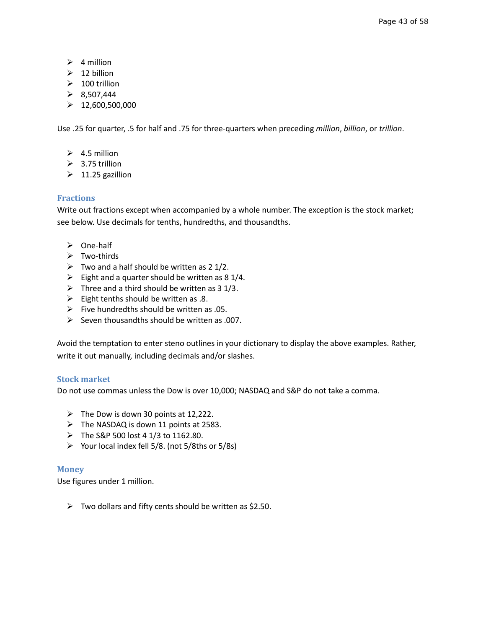- $\geq 4$  million
- $\geq 12$  billion
- $\geq 100$  trillion
- $\geq 8,507,444$
- $\geq 12,600,500,000$

Use .25 for quarter, .5 for half and .75 for three-quarters when preceding *million*, *billion*, or *trillion*.

- $\geq 4.5$  million
- $\geq$  3.75 trillion
- $\geq 11.25$  gazillion

#### **Fractions**

Write out fractions except when accompanied by a whole number. The exception is the stock market; see below. Use decimals for tenths, hundredths, and thousandths.

- One-half
- $\triangleright$  Two-thirds
- $\triangleright$  Two and a half should be written as 2 1/2.
- $\triangleright$  Eight and a quarter should be written as 8 1/4.
- $\triangleright$  Three and a third should be written as 3 1/3.
- $\triangleright$  Eight tenths should be written as .8.
- $\triangleright$  Five hundredths should be written as .05.
- Seven thousandths should be written as .007.

Avoid the temptation to enter steno outlines in your dictionary to display the above examples. Rather, write it out manually, including decimals and/or slashes.

### **Stock market**

Do not use commas unless the Dow is over 10,000; NASDAQ and S&P do not take a comma.

- $\triangleright$  The Dow is down 30 points at 12,222.
- $\triangleright$  The NASDAQ is down 11 points at 2583.
- $\triangleright$  The S&P 500 lost 4 1/3 to 1162.80.
- $\triangleright$  Your local index fell 5/8. (not 5/8ths or 5/8s)

### **Money**

Use figures under 1 million.

 $\triangleright$  Two dollars and fifty cents should be written as \$2.50.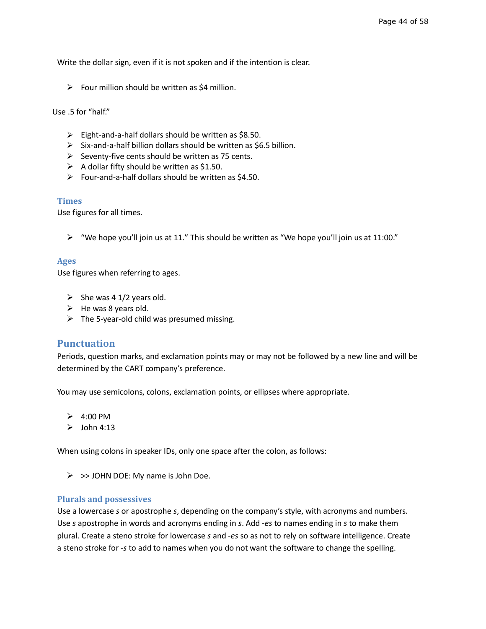Write the dollar sign, even if it is not spoken and if the intention is clear.

 $\triangleright$  Four million should be written as \$4 million.

Use .5 for "half."

- $\triangleright$  Eight-and-a-half dollars should be written as \$8.50.
- $\triangleright$  Six-and-a-half billion dollars should be written as \$6.5 billion.
- $\triangleright$  Seventy-five cents should be written as 75 cents.
- $\triangleright$  A dollar fifty should be written as \$1.50.
- $\triangleright$  Four-and-a-half dollars should be written as \$4.50.

#### **Times**

Use figures for all times.

 $\triangleright$  "We hope you'll join us at 11." This should be written as "We hope you'll join us at 11:00."

#### **Ages**

Use figures when referring to ages.

- $\triangleright$  She was 4 1/2 years old.
- $\triangleright$  He was 8 years old.
- $\triangleright$  The 5-year-old child was presumed missing.

## **Punctuation**

Periods, question marks, and exclamation points may or may not be followed by a new line and will be determined by the CART company's preference.

You may use semicolons, colons, exclamation points, or ellipses where appropriate.

- $\geqslant 4:00 \text{ PM}$
- $\triangleright$  John 4:13

When using colons in speaker IDs, only one space after the colon, as follows:

 $\triangleright$  >> JOHN DOE: My name is John Doe.

#### **Plurals and possessives**

Use a lowercase *s* or apostrophe *s*, depending on the company's style, with acronyms and numbers. Use *s* apostrophe in words and acronyms ending in *s*. Add -*es* to names ending in *s* to make them plural. Create a steno stroke for lowercase *s* and -*es* so as not to rely on software intelligence. Create a steno stroke for -*s* to add to names when you do not want the software to change the spelling.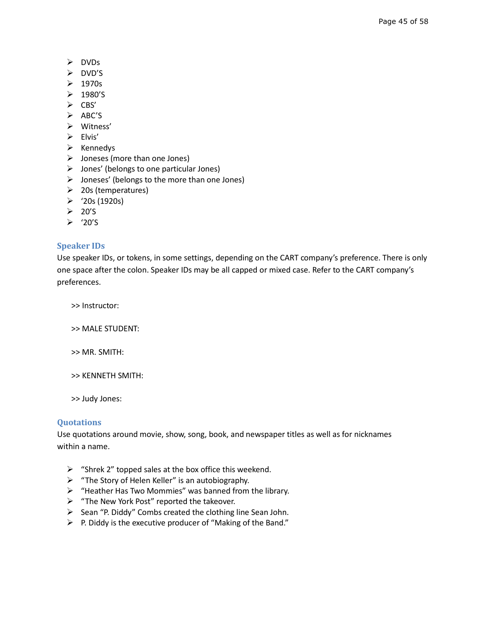- DVDs
- DVD'S
- $\geq 1970s$
- $\geq 1980'$ S
- $\triangleright$  CBS'
- $\triangleright$  ABC'S
- Witness'
- $\triangleright$  Elvis'
- $\triangleright$  Kennedys
- $\triangleright$  Joneses (more than one Jones)
- $\triangleright$  Jones' (belongs to one particular Jones)
- $\triangleright$  Joneses' (belongs to the more than one Jones)
- $\geq$  20s (temperatures)
- $\triangleright$  '20s (1920s)
- $\geqslant$  20'S
- $\geq$  '20'S

## **Speaker IDs**

Use speaker IDs, or tokens, in some settings, depending on the CART company's preference. There is only one space after the colon. Speaker IDs may be all capped or mixed case. Refer to the CART company's preferences.

>> Instructor:

>> MALE STUDENT:

>> MR. SMITH:

>> KENNETH SMITH:

>> Judy Jones:

### **Quotations**

Use quotations around movie, show, song, book, and newspaper titles as well as for nicknames within a name.

- $\triangleright$  "Shrek 2" topped sales at the box office this weekend.
- $\triangleright$  "The Story of Helen Keller" is an autobiography.
- $\triangleright$  "Heather Has Two Mommies" was banned from the library.
- $\triangleright$  "The New York Post" reported the takeover.
- $\triangleright$  Sean "P. Diddy" Combs created the clothing line Sean John.
- $\triangleright$  P. Diddy is the executive producer of "Making of the Band."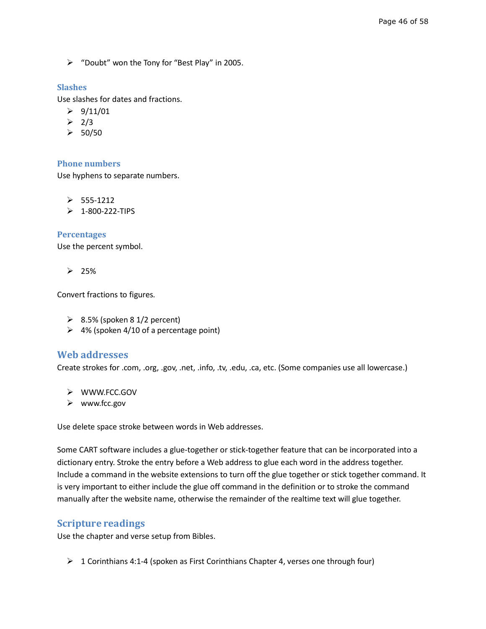$\triangleright$  "Doubt" won the Tony for "Best Play" in 2005.

### **Slashes**

Use slashes for dates and fractions.

- $\geq$  9/11/01
- $2/3$
- $\triangleright$  50/50

#### **Phone numbers**

Use hyphens to separate numbers.

- $> 555-1212$
- $\geq 1 800 222 TIPS$

#### **Percentages**

Use the percent symbol.

 $\geqslant$  25%

Convert fractions to figures.

- $\geq$  8.5% (spoken 8 1/2 percent)
- $\geq$  4% (spoken 4/10 of a percentage point)

# **Web addresses**

Create strokes for .com, .org, .gov, .net, .info, .tv, .edu, .ca, etc. (Some companies use all lowercase.)

- WWW.FCC.GOV
- $\triangleright$  [www.fcc.gov](http://www.fcc.gov/)

Use delete space stroke between words in Web addresses.

Some CART software includes a glue-together or stick-together feature that can be incorporated into a dictionary entry. Stroke the entry before a Web address to glue each word in the address together. Include a command in the website extensions to turn off the glue together or stick together command. It is very important to either include the glue off command in the definition or to stroke the command manually after the website name, otherwise the remainder of the realtime text will glue together.

# **Scripture readings**

Use the chapter and verse setup from Bibles.

 $\triangleright$  1 Corinthians 4:1-4 (spoken as First Corinthians Chapter 4, verses one through four)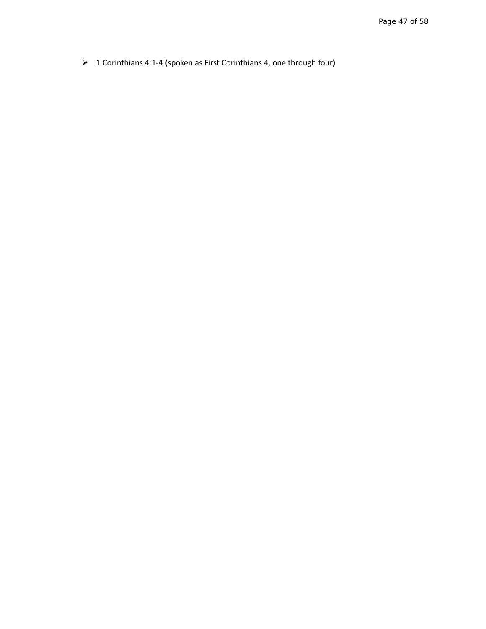$\geq 1$  Corinthians 4:1-4 (spoken as First Corinthians 4, one through four)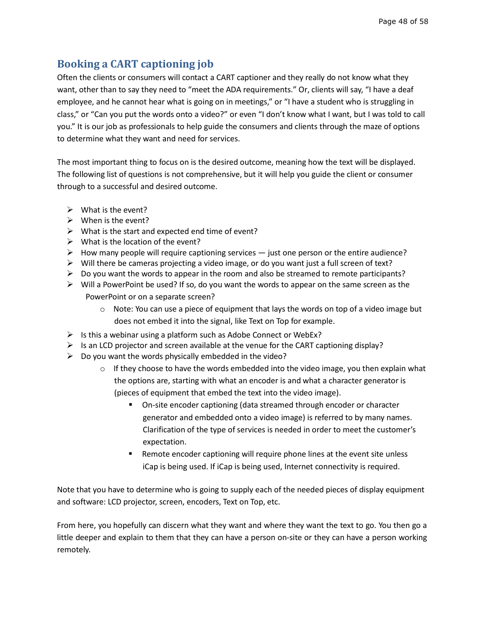# **Booking a CART captioning job**

Often the clients or consumers will contact a CART captioner and they really do not know what they want, other than to say they need to "meet the ADA requirements." Or, clients will say, "I have a deaf employee, and he cannot hear what is going on in meetings," or "I have a student who is struggling in class," or "Can you put the words onto a video?" or even "I don't know what I want, but I was told to call you." It is our job as professionals to help guide the consumers and clients through the maze of options to determine what they want and need for services.

The most important thing to focus on is the desired outcome, meaning how the text will be displayed. The following list of questions is not comprehensive, but it will help you guide the client or consumer through to a successful and desired outcome.

- $\triangleright$  What is the event?
- $\triangleright$  When is the event?
- $\triangleright$  What is the start and expected end time of event?
- $\triangleright$  What is the location of the event?
- $\triangleright$  How many people will require captioning services just one person or the entire audience?
- $\triangleright$  Will there be cameras projecting a video image, or do you want just a full screen of text?
- $\triangleright$  Do you want the words to appear in the room and also be streamed to remote participants?
- $\triangleright$  Will a PowerPoint be used? If so, do you want the words to appear on the same screen as the PowerPoint or on a separate screen?
	- $\circ$  Note: You can use a piece of equipment that lays the words on top of a video image but does not embed it into the signal, like Text on Top for example.
- $\triangleright$  Is this a webinar using a platform such as Adobe Connect or WebEx?
- $\triangleright$  Is an LCD projector and screen available at the venue for the CART captioning display?
- $\triangleright$  Do you want the words physically embedded in the video?
	- $\circ$  If they choose to have the words embedded into the video image, you then explain what the options are, starting with what an encoder is and what a character generator is (pieces of equipment that embed the text into the video image).
		- **D**n-site encoder captioning (data streamed through encoder or character generator and embedded onto a video image) is referred to by many names. Clarification of the type of services is needed in order to meet the customer's expectation.
		- Remote encoder captioning will require phone lines at the event site unless iCap is being used. If iCap is being used, Internet connectivity is required.

Note that you have to determine who is going to supply each of the needed pieces of display equipment and software: LCD projector, screen, encoders, Text on Top, etc.

From here, you hopefully can discern what they want and where they want the text to go. You then go a little deeper and explain to them that they can have a person on-site or they can have a person working remotely.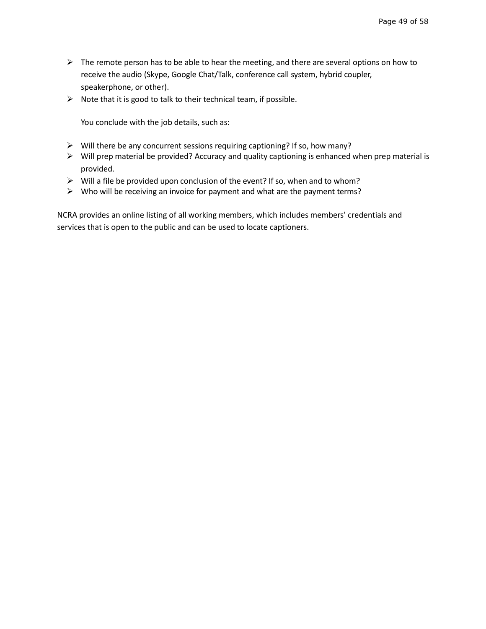- $\triangleright$  The remote person has to be able to hear the meeting, and there are several options on how to receive the audio (Skype, Google Chat/Talk, conference call system, hybrid coupler, speakerphone, or other).
- $\triangleright$  Note that it is good to talk to their technical team, if possible.

You conclude with the job details, such as:

- $\triangleright$  Will there be any concurrent sessions requiring captioning? If so, how many?
- $\triangleright$  Will prep material be provided? Accuracy and quality captioning is enhanced when prep material is provided.
- $\triangleright$  Will a file be provided upon conclusion of the event? If so, when and to whom?
- $\triangleright$  Who will be receiving an invoice for payment and what are the payment terms?

NCRA provides an online listing of all working members, which includes members' credentials and services that is open to the public and can be used to locate captioners.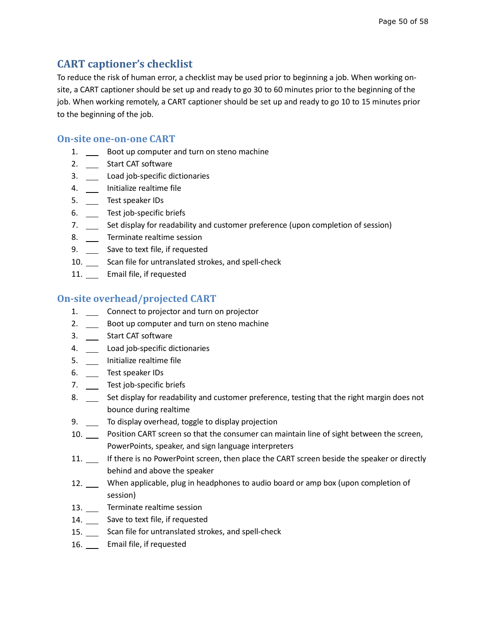# **CART captioner's checklist**

To reduce the risk of human error, a checklist may be used prior to beginning a job. When working onsite, a CART captioner should be set up and ready to go 30 to 60 minutes prior to the beginning of the job. When working remotely, a CART captioner should be set up and ready to go 10 to 15 minutes prior to the beginning of the job.

# **On-site one-on-one CART**

- 1. Boot up computer and turn on steno machine
- 2. \_\_\_\_\_ Start CAT software
- 3. Load job-specific dictionaries
- 4. \_\_\_\_ Initialize realtime file
- 5. Test speaker IDs
- 6. \_\_\_\_ Test job-specific briefs
- 7. \_\_\_ Set display for readability and customer preference (upon completion of session)
- 8. \_\_\_\_ Terminate realtime session
- 9. \_\_\_\_\_ Save to text file, if requested
- 10. \_\_\_\_ Scan file for untranslated strokes, and spell-check
- 11. Email file, if requested

# **On-site overhead/projected CART**

- 1. Connect to projector and turn on projector
- 2. Boot up computer and turn on steno machine
- 3. Start CAT software
- 4. Load job-specific dictionaries
- 5. Initialize realtime file
- 6. Test speaker IDs
- 7. Test job-specific briefs
- 8. \_\_\_ Set display for readability and customer preference, testing that the right margin does not bounce during realtime
- $9.$   $\qquad$ To display overhead, toggle to display projection
- 10. *imeseren contings of that the consumer can maintain line of sight between the screen,* PowerPoints, speaker, and sign language interpreters
- 11. \_\_\_ If there is no PowerPoint screen, then place the CART screen beside the speaker or directly behind and above the speaker
- 12. \_\_ When applicable, plug in headphones to audio board or amp box (upon completion of session)
- 13. Terminate realtime session
- 14. Save to text file, if requested
- 15. Scan file for untranslated strokes, and spell-check
- 16. Email file, if requested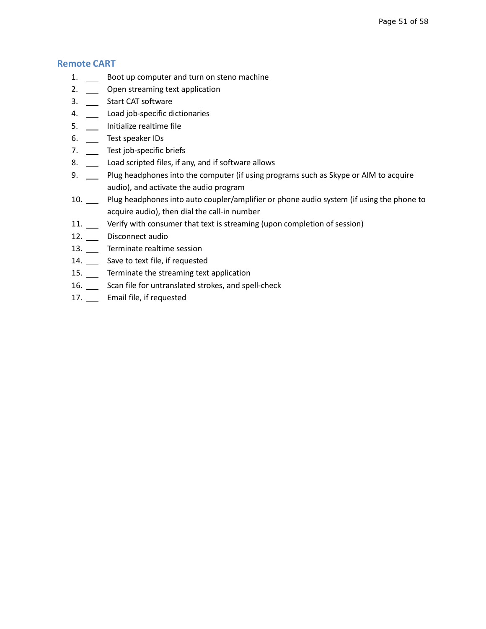### **Remote CART**

- 1. \_\_\_\_ Boot up computer and turn on steno machine
- 2. \_\_\_\_ Open streaming text application
- 3. \_\_\_\_\_ Start CAT software
- 4. Load job-specific dictionaries
- 5. \_\_\_\_ Initialize realtime file
- 6. \_\_\_ Test speaker IDs
- 7. \_\_\_\_ Test job-specific briefs
- 8. \_\_\_\_ Load scripted files, if any, and if software allows
- 9. \_\_ Plug headphones into the computer (if using programs such as Skype or AIM to acquire audio), and activate the audio program
- 10. Plug headphones into auto coupler/amplifier or phone audio system (if using the phone to acquire audio), then dial the call-in number
- 11. \_\_ Verify with consumer that text is streaming (upon completion of session)
- 12. Disconnect audio
- 13. Terminate realtime session
- 14. Save to text file, if requested
- 15. Terminate the streaming text application
- 16. Scan file for untranslated strokes, and spell-check
- 17. Email file, if requested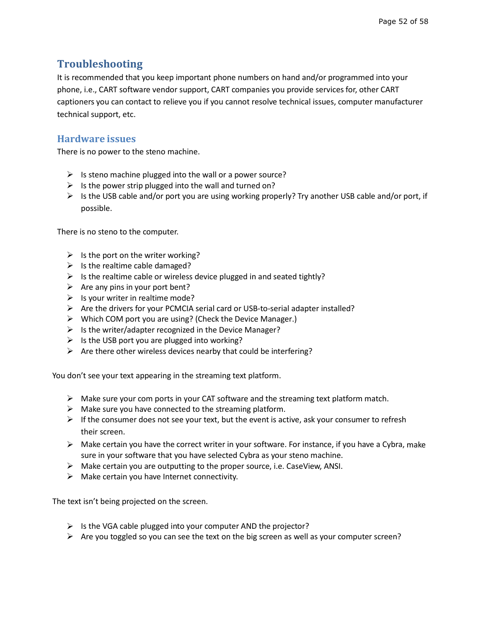# **Troubleshooting**

It is recommended that you keep important phone numbers on hand and/or programmed into your phone, i.e., CART software vendor support, CART companies you provide services for, other CART captioners you can contact to relieve you if you cannot resolve technical issues, computer manufacturer technical support, etc.

# **Hardware issues**

There is no power to the steno machine.

- $\triangleright$  Is steno machine plugged into the wall or a power source?
- $\triangleright$  Is the power strip plugged into the wall and turned on?
- $\triangleright$  Is the USB cable and/or port you are using working properly? Try another USB cable and/or port, if possible.

There is no steno to the computer.

- $\triangleright$  Is the port on the writer working?
- $\triangleright$  Is the realtime cable damaged?
- $\triangleright$  Is the realtime cable or wireless device plugged in and seated tightly?
- $\triangleright$  Are any pins in your port bent?
- $\triangleright$  Is your writer in realtime mode?
- $\triangleright$  Are the drivers for your PCMCIA serial card or USB-to-serial adapter installed?
- $\triangleright$  Which COM port you are using? (Check the Device Manager.)
- $\triangleright$  Is the writer/adapter recognized in the Device Manager?
- $\triangleright$  Is the USB port you are plugged into working?
- $\triangleright$  Are there other wireless devices nearby that could be interfering?

You don't see your text appearing in the streaming text platform.

- $\triangleright$  Make sure your com ports in your CAT software and the streaming text platform match.
- $\triangleright$  Make sure you have connected to the streaming platform.
- $\triangleright$  If the consumer does not see your text, but the event is active, ask your consumer to refresh their screen.
- $\triangleright$  Make certain you have the correct writer in your software. For instance, if you have a Cybra, make sure in your software that you have selected Cybra as your steno machine.
- $\triangleright$  Make certain you are outputting to the proper source, i.e. CaseView, ANSI.
- $\triangleright$  Make certain you have Internet connectivity.

The text isn't being projected on the screen.

- $\triangleright$  Is the VGA cable plugged into your computer AND the projector?
- $\triangleright$  Are you toggled so you can see the text on the big screen as well as your computer screen?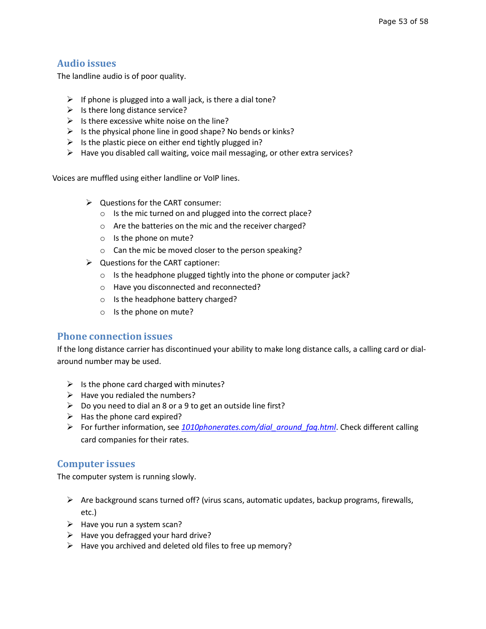# **Audio issues**

The landline audio is of poor quality.

- $\triangleright$  If phone is plugged into a wall jack, is there a dial tone?
- $\triangleright$  Is there long distance service?
- $\triangleright$  Is there excessive white noise on the line?
- $\triangleright$  Is the physical phone line in good shape? No bends or kinks?
- $\triangleright$  Is the plastic piece on either end tightly plugged in?
- $\triangleright$  Have you disabled call waiting, voice mail messaging, or other extra services?

Voices are muffled using either landline or VoIP lines.

- $\triangleright$  Questions for the CART consumer:
	- o Is the mic turned on and plugged into the correct place?
	- o Are the batteries on the mic and the receiver charged?
	- o Is the phone on mute?
	- o Can the mic be moved closer to the person speaking?
- $\triangleright$  Questions for the CART captioner:
	- o Is the headphone plugged tightly into the phone or computer jack?
	- o Have you disconnected and reconnected?
	- o Is the headphone battery charged?
	- o Is the phone on mute?

### **Phone connection issues**

If the long distance carrier has discontinued your ability to make long distance calls, a calling card or dialaround number may be used.

- $\triangleright$  Is the phone card charged with minutes?
- $\triangleright$  Have you redialed the numbers?
- $\triangleright$  Do you need to dial an 8 or a 9 to get an outside line first?
- $\triangleright$  Has the phone card expired?
- For further information, see *[1010phonerates.com/dial\\_around\\_faq.html](http://www.1010phonerates.com/dial_around_faq.html)*. Check different calling card companies for their rates.

# **Computer issues**

The computer system is running slowly.

- $\triangleright$  Are background scans turned off? (virus scans, automatic updates, backup programs, firewalls, etc.)
- $\triangleright$  Have you run a system scan?
- $\triangleright$  Have you defragged your hard drive?
- $\triangleright$  Have you archived and deleted old files to free up memory?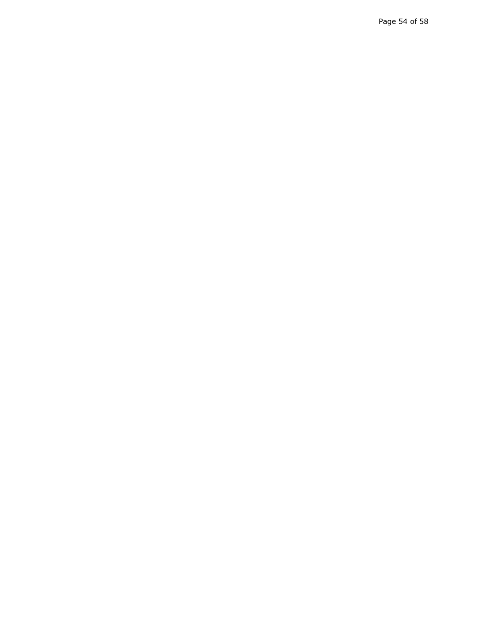Page 54 of 58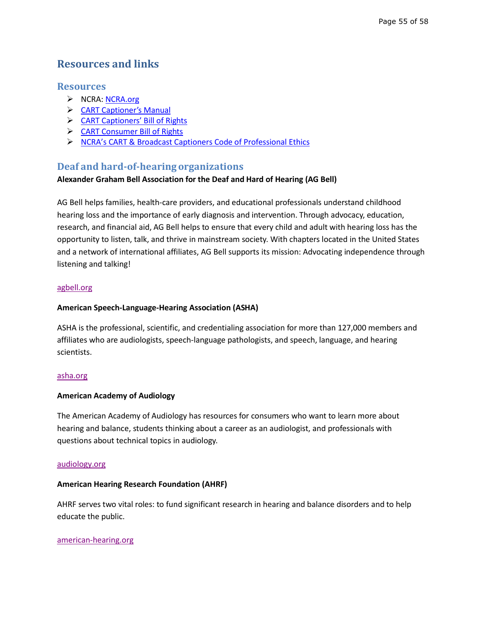# **Resources and links**

## **Resources**

- > NCRA[: NCRA.org](http://www.ncra.org/)
- CART [Captioner's](https://www.ncra.org/docs/default-source/uploadedfiles/governmentrelations/cartmanual.pdf) Manual
- CART [Captioners'](https://www.ncra.org/docs/default-source/uploadedfiles/governmentrelations/cart-bill-of-rights.pdf) Bill of Rights
- CART [Consumer Bill](https://www.ncra.org/captioningmatters/captioning-matters-home/captioning-matters-resources/captioning-matters--group-page-for-resources/CART-Consumer-Bill-of-Rights) of Rights
- NCRA's CART & Broadcast Captioners Code of [Professional Ethics](https://www.ncra.org/home/professionals_resources/NCRA-Code-of-Professional-Ethics/captioners-code-of-professional-ethics)

# **Deaf and hard-of-hearing organizations**

### **Alexander Graham Bell Association for the Deaf and Hard of Hearing (AG Bell)**

AG Bell helps families, health-care providers, and educational professionals understand childhood hearing loss and the importance of early diagnosis and intervention. Through advocacy, education, research, and financial aid, AG Bell helps to ensure that every child and adult with hearing loss has the opportunity to listen, talk, and thrive in mainstream society. With chapters located in the United States and a network of international affiliates, AG Bell supports its mission: Advocating independence through listening and talking!

#### [agbell.org](http://www.agbell.org/)

#### **American Speech-Language-Hearing Association (ASHA)**

ASHA is the professional, scientific, and credentialing association for more than 127,000 members and affiliates who are audiologists, speech-language pathologists, and speech, language, and hearing scientists.

#### [asha.org](http://www.asha.org/default.htm)

### **American Academy of Audiology**

The American Academy of Audiology has resources for consumers who want to learn more about hearing and balance, students thinking about a career as an audiologist, and professionals with questions about technical topics in audiology.

#### [audiology.org](http://www.audiology.org/)

### **American Hearing Research Foundation (AHRF)**

AHRF serves two vital roles: to fund significant research in hearing and balance disorders and to help educate the public.

### [american-hearing.org](http://www.american-hearing.org/)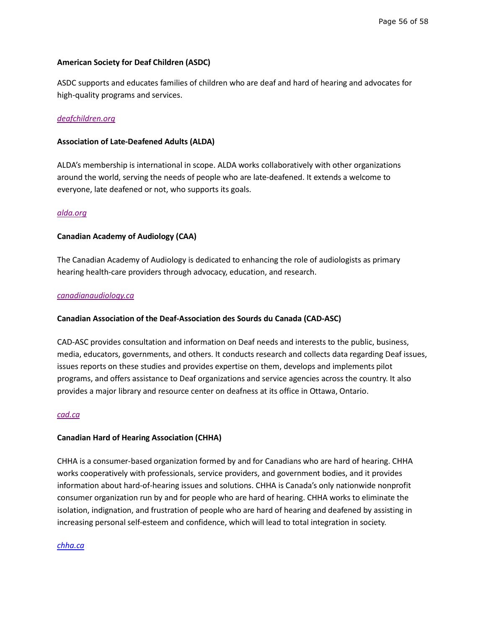### **American Society for Deaf Children (ASDC)**

ASDC supports and educates families of children who are deaf and hard of hearing and advocates for high-quality programs and services.

#### *[deafchildren.org](http://www.deafchildren.org/)*

#### **Association of Late-Deafened Adults (ALDA)**

ALDA's membership is international in scope. ALDA works collaboratively with other organizations around the world, serving the needs of people who are late-deafened. It extends a welcome to everyone, late deafened or not, who supports its goals.

#### *[alda.org](http://www.alda.org/)*

#### **Canadian Academy of Audiology (CAA)**

The Canadian Academy of Audiology is dedicated to enhancing the role of audiologists as primary hearing health-care providers through advocacy, education, and research.

#### *[canadianaudiology.ca](http://www.canadianaudiology.ca/)*

### **Canadian Association of the Deaf-Association des Sourds du Canada (CAD-ASC)**

CAD-ASC provides consultation and information on Deaf needs and interests to the public, business, media, educators, governments, and others. It conducts research and collects data regarding Deaf issues, issues reports on these studies and provides expertise on them, develops and implements pilot programs, and offers assistance to Deaf organizations and service agencies across the country. It also provides a major library and resource center on deafness at its office in Ottawa, Ontario.

#### *[cad.ca](http://www.cad.ca/)*

### **Canadian Hard of Hearing Association (CHHA)**

CHHA is a consumer-based organization formed by and for Canadians who are hard of hearing. CHHA works cooperatively with professionals, service providers, and government bodies, and it provides information about hard-of-hearing issues and solutions. CHHA is Canada's only nationwide nonprofit consumer organization run by and for people who are hard of hearing. CHHA works to eliminate the isolation, indignation, and frustration of people who are hard of hearing and deafened by assisting in increasing personal self-esteem and confidence, which will lead to total integration in society.

#### *[chha.ca](https://www.chha.ca/)*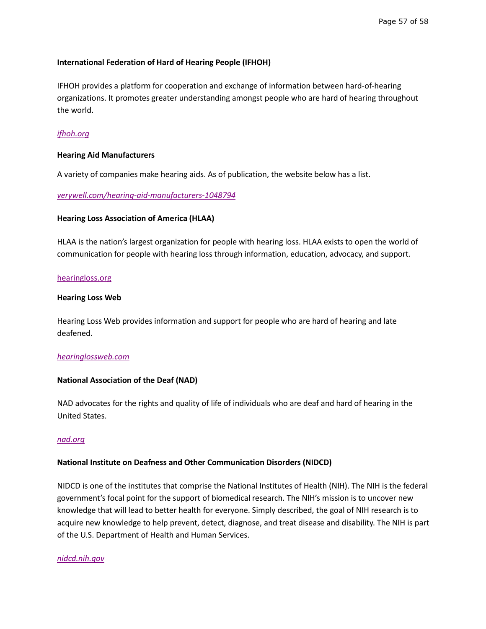#### **International Federation of Hard of Hearing People (IFHOH)**

IFHOH provides a platform for cooperation and exchange of information between hard-of-hearing organizations. It promotes greater understanding amongst people who are hard of hearing throughout the world.

### *[ifhoh.org](http://www.ifhoh.org/)*

#### **Hearing Aid Manufacturers**

A variety of companies make hearing aids. As of publication, the website below has a list.

*[verywell.com/hearing-aid-manufacturers-1048794](https://www.verywell.com/hearing-aid-manufacturers-1048794)*

#### **Hearing Loss Association of America (HLAA)**

HLAA is the nation's largest organization for people with hearing loss. HLAA exists to open the world of communication for people with hearing loss through information, education, advocacy, and support.

#### [hearingloss.org](http://www.hearingloss.org/)

#### **Hearing Loss Web**

Hearing Loss Web provides information and support for people who are hard of hearing and late deafened.

#### *[hearinglossweb.com](http://www.hearinglossweb.com/)*

#### **National Association of the Deaf (NAD)**

NAD advocates for the rights and quality of life of individuals who are deaf and hard of hearing in the United States.

#### *[nad.org](http://www.nad.org/)*

#### **National Institute on Deafness and Other Communication Disorders (NIDCD)**

NIDCD is one of the institutes that comprise the National Institutes of Health (NIH). The NIH is the federal government's focal point for the support of biomedical research. The NIH's mission is to uncover new knowledge that will lead to better health for everyone. Simply described, the goal of NIH research is to acquire new knowledge to help prevent, detect, diagnose, and treat disease and disability. The NIH is part of the U.S. Department of Health and Human Services.

#### *[nidcd.nih.gov](https://www.nidcd.nih.gov/)*